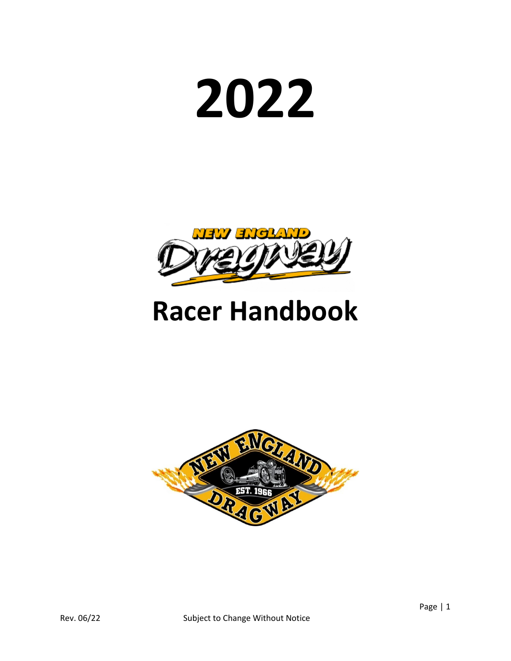# **2022**



# **Racer Handbook**

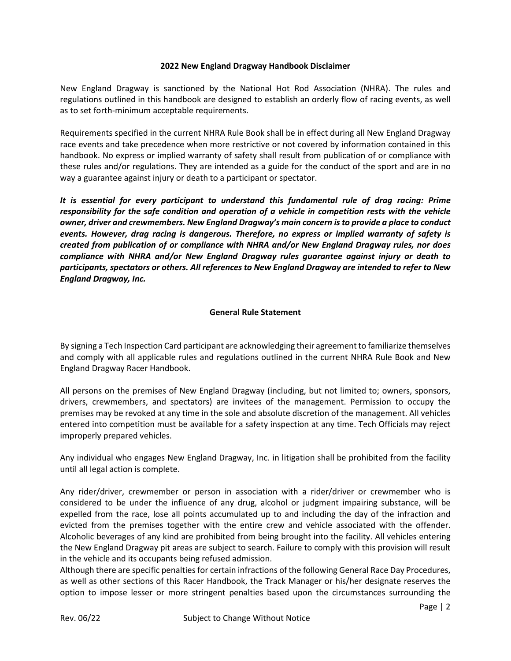# **2022 New England Dragway Handbook Disclaimer**

New England Dragway is sanctioned by the National Hot Rod Association (NHRA). The rules and regulations outlined in this handbook are designed to establish an orderly flow of racing events, as well as to set forth-minimum acceptable requirements.

Requirements specified in the current NHRA Rule Book shall be in effect during all New England Dragway race events and take precedence when more restrictive or not covered by information contained in this handbook. No express or implied warranty of safety shall result from publication of or compliance with these rules and/or regulations. They are intended as a guide for the conduct of the sport and are in no way a guarantee against injury or death to a participant or spectator.

*It is essential for every participant to understand this fundamental rule of drag racing: Prime responsibility for the safe condition and operation of a vehicle in competition rests with the vehicle owner, driver and crewmembers. New England Dragway's main concern is to provide a place to conduct events. However, drag racing is dangerous. Therefore, no express or implied warranty of safety is created from publication of or compliance with NHRA and/or New England Dragway rules, nor does compliance with NHRA and/or New England Dragway rules guarantee against injury or death to participants, spectators or others. All references to New England Dragway are intended to refer to New England Dragway, Inc.*

# **General Rule Statement**

By signing a Tech Inspection Card participant are acknowledging their agreement to familiarize themselves and comply with all applicable rules and regulations outlined in the current NHRA Rule Book and New England Dragway Racer Handbook.

All persons on the premises of New England Dragway (including, but not limited to; owners, sponsors, drivers, crewmembers, and spectators) are invitees of the management. Permission to occupy the premises may be revoked at any time in the sole and absolute discretion of the management. All vehicles entered into competition must be available for a safety inspection at any time. Tech Officials may reject improperly prepared vehicles.

Any individual who engages New England Dragway, Inc. in litigation shall be prohibited from the facility until all legal action is complete.

Any rider/driver, crewmember or person in association with a rider/driver or crewmember who is considered to be under the influence of any drug, alcohol or judgment impairing substance, will be expelled from the race, lose all points accumulated up to and including the day of the infraction and evicted from the premises together with the entire crew and vehicle associated with the offender. Alcoholic beverages of any kind are prohibited from being brought into the facility. All vehicles entering the New England Dragway pit areas are subject to search. Failure to comply with this provision will result in the vehicle and its occupants being refused admission.

Although there are specific penalties for certain infractions of the following General Race Day Procedures, as well as other sections of this Racer Handbook, the Track Manager or his/her designate reserves the option to impose lesser or more stringent penalties based upon the circumstances surrounding the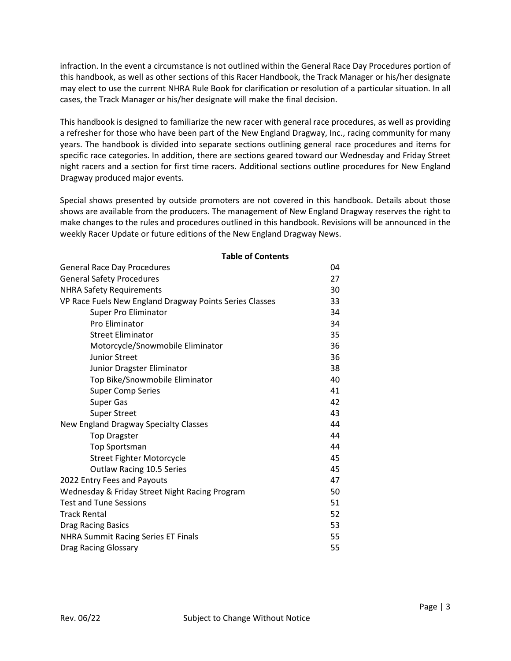infraction. In the event a circumstance is not outlined within the General Race Day Procedures portion of this handbook, as well as other sections of this Racer Handbook, the Track Manager or his/her designate may elect to use the current NHRA Rule Book for clarification or resolution of a particular situation. In all cases, the Track Manager or his/her designate will make the final decision.

This handbook is designed to familiarize the new racer with general race procedures, as well as providing a refresher for those who have been part of the New England Dragway, Inc., racing community for many years. The handbook is divided into separate sections outlining general race procedures and items for specific race categories. In addition, there are sections geared toward our Wednesday and Friday Street night racers and a section for first time racers. Additional sections outline procedures for New England Dragway produced major events.

Special shows presented by outside promoters are not covered in this handbook. Details about those shows are available from the producers. The management of New England Dragway reserves the right to make changes to the rules and procedures outlined in this handbook. Revisions will be announced in the weekly Racer Update or future editions of the New England Dragway News.

| <b>General Race Day Procedures</b>                      | 04 |  |  |
|---------------------------------------------------------|----|--|--|
| <b>General Safety Procedures</b>                        |    |  |  |
| <b>NHRA Safety Requirements</b>                         |    |  |  |
| VP Race Fuels New England Dragway Points Series Classes | 33 |  |  |
| Super Pro Eliminator                                    | 34 |  |  |
| Pro Eliminator                                          | 34 |  |  |
| <b>Street Eliminator</b>                                | 35 |  |  |
| Motorcycle/Snowmobile Eliminator                        | 36 |  |  |
| <b>Junior Street</b>                                    | 36 |  |  |
| Junior Dragster Eliminator                              | 38 |  |  |
| Top Bike/Snowmobile Eliminator                          | 40 |  |  |
| <b>Super Comp Series</b>                                | 41 |  |  |
| <b>Super Gas</b>                                        | 42 |  |  |
| <b>Super Street</b>                                     | 43 |  |  |
| New England Dragway Specialty Classes                   | 44 |  |  |
| <b>Top Dragster</b>                                     | 44 |  |  |
| <b>Top Sportsman</b>                                    | 44 |  |  |
| <b>Street Fighter Motorcycle</b>                        | 45 |  |  |
| Outlaw Racing 10.5 Series                               | 45 |  |  |
| 2022 Entry Fees and Payouts                             | 47 |  |  |
| Wednesday & Friday Street Night Racing Program          | 50 |  |  |
| <b>Test and Tune Sessions</b>                           | 51 |  |  |
| <b>Track Rental</b>                                     | 52 |  |  |
| <b>Drag Racing Basics</b>                               | 53 |  |  |
| <b>NHRA Summit Racing Series ET Finals</b>              |    |  |  |
| <b>Drag Racing Glossary</b>                             |    |  |  |

#### **Table of Contents**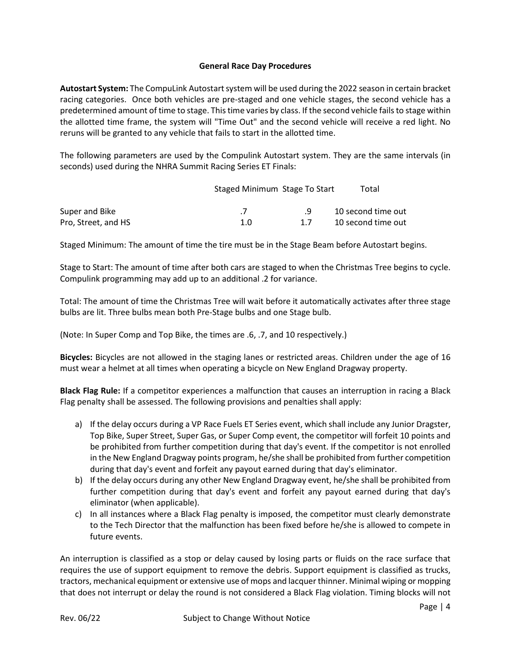# **General Race Day Procedures**

**Autostart System:** The CompuLink Autostart system will be used during the 2022 season in certain bracket racing categories. Once both vehicles are pre-staged and one vehicle stages, the second vehicle has a predetermined amount of time to stage. This time varies by class. If the second vehicle fails to stage within the allotted time frame, the system will "Time Out" and the second vehicle will receive a red light. No reruns will be granted to any vehicle that fails to start in the allotted time.

The following parameters are used by the Compulink Autostart system. They are the same intervals (in seconds) used during the NHRA Summit Racing Series ET Finals:

|                     | Staged Minimum Stage To Start |    | Total              |
|---------------------|-------------------------------|----|--------------------|
| Super and Bike      |                               |    | 10 second time out |
| Pro, Street, and HS | 1.O                           | 17 | 10 second time out |

Staged Minimum: The amount of time the tire must be in the Stage Beam before Autostart begins.

Stage to Start: The amount of time after both cars are staged to when the Christmas Tree begins to cycle. Compulink programming may add up to an additional .2 for variance.

Total: The amount of time the Christmas Tree will wait before it automatically activates after three stage bulbs are lit. Three bulbs mean both Pre-Stage bulbs and one Stage bulb.

(Note: In Super Comp and Top Bike, the times are .6, .7, and 10 respectively.)

**Bicycles:** Bicycles are not allowed in the staging lanes or restricted areas. Children under the age of 16 must wear a helmet at all times when operating a bicycle on New England Dragway property.

**Black Flag Rule:** If a competitor experiences a malfunction that causes an interruption in racing a Black Flag penalty shall be assessed. The following provisions and penalties shall apply:

- a) If the delay occurs during a VP Race Fuels ET Series event, which shall include any Junior Dragster, Top Bike, Super Street, Super Gas, or Super Comp event, the competitor will forfeit 10 points and be prohibited from further competition during that day's event. If the competitor is not enrolled in the New England Dragway points program, he/she shall be prohibited from further competition during that day's event and forfeit any payout earned during that day's eliminator.
- b) If the delay occurs during any other New England Dragway event, he/she shall be prohibited from further competition during that day's event and forfeit any payout earned during that day's eliminator (when applicable).
- c) In all instances where a Black Flag penalty is imposed, the competitor must clearly demonstrate to the Tech Director that the malfunction has been fixed before he/she is allowed to compete in future events.

An interruption is classified as a stop or delay caused by losing parts or fluids on the race surface that requires the use of support equipment to remove the debris. Support equipment is classified as trucks, tractors, mechanical equipment or extensive use of mops and lacquer thinner. Minimal wiping or mopping that does not interrupt or delay the round is not considered a Black Flag violation. Timing blocks will not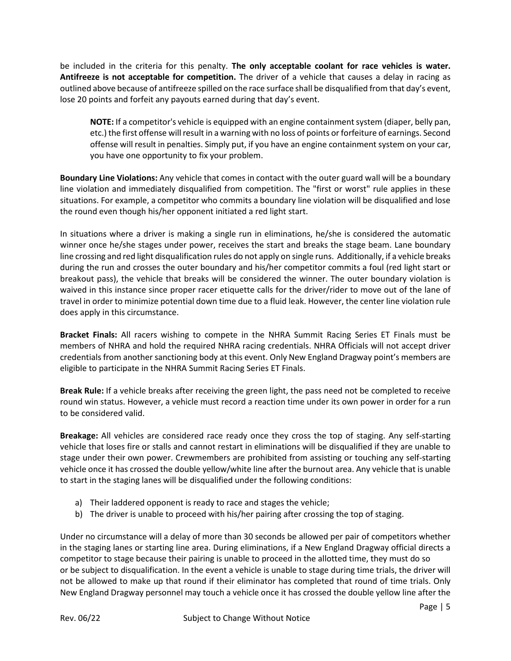be included in the criteria for this penalty. **The only acceptable coolant for race vehicles is water. Antifreeze is not acceptable for competition.** The driver of a vehicle that causes a delay in racing as outlined above because of antifreeze spilled on the race surface shall be disqualified from that day's event, lose 20 points and forfeit any payouts earned during that day's event.

**NOTE:** If a competitor's vehicle is equipped with an engine containment system (diaper, belly pan, etc.) the first offense will result in a warning with no loss of points or forfeiture of earnings. Second offense will result in penalties. Simply put, if you have an engine containment system on your car, you have one opportunity to fix your problem.

**Boundary Line Violations:** Any vehicle that comes in contact with the outer guard wall will be a boundary line violation and immediately disqualified from competition. The "first or worst" rule applies in these situations. For example, a competitor who commits a boundary line violation will be disqualified and lose the round even though his/her opponent initiated a red light start.

In situations where a driver is making a single run in eliminations, he/she is considered the automatic winner once he/she stages under power, receives the start and breaks the stage beam. Lane boundary line crossing and red light disqualification rules do not apply on single runs. Additionally, if a vehicle breaks during the run and crosses the outer boundary and his/her competitor commits a foul (red light start or breakout pass), the vehicle that breaks will be considered the winner. The outer boundary violation is waived in this instance since proper racer etiquette calls for the driver/rider to move out of the lane of travel in order to minimize potential down time due to a fluid leak. However, the center line violation rule does apply in this circumstance.

**Bracket Finals:** All racers wishing to compete in the NHRA Summit Racing Series ET Finals must be members of NHRA and hold the required NHRA racing credentials. NHRA Officials will not accept driver credentials from another sanctioning body at this event. Only New England Dragway point's members are eligible to participate in the NHRA Summit Racing Series ET Finals.

**Break Rule:** If a vehicle breaks after receiving the green light, the pass need not be completed to receive round win status. However, a vehicle must record a reaction time under its own power in order for a run to be considered valid.

**Breakage:** All vehicles are considered race ready once they cross the top of staging. Any self-starting vehicle that loses fire or stalls and cannot restart in eliminations will be disqualified if they are unable to stage under their own power. Crewmembers are prohibited from assisting or touching any self-starting vehicle once it has crossed the double yellow/white line after the burnout area. Any vehicle that is unable to start in the staging lanes will be disqualified under the following conditions:

- a) Their laddered opponent is ready to race and stages the vehicle;
- b) The driver is unable to proceed with his/her pairing after crossing the top of staging.

Under no circumstance will a delay of more than 30 seconds be allowed per pair of competitors whether in the staging lanes or starting line area. During eliminations, if a New England Dragway official directs a competitor to stage because their pairing is unable to proceed in the allotted time, they must do so or be subject to disqualification. In the event a vehicle is unable to stage during time trials, the driver will not be allowed to make up that round if their eliminator has completed that round of time trials. Only New England Dragway personnel may touch a vehicle once it has crossed the double yellow line after the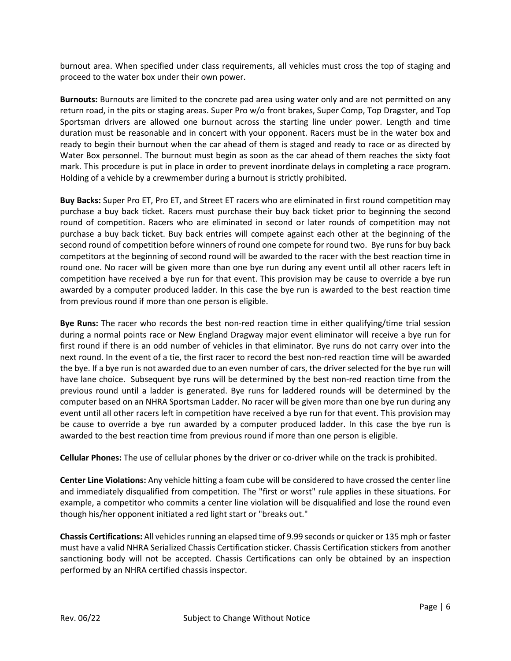burnout area. When specified under class requirements, all vehicles must cross the top of staging and proceed to the water box under their own power.

**Burnouts:** Burnouts are limited to the concrete pad area using water only and are not permitted on any return road, in the pits or staging areas. Super Pro w/o front brakes, Super Comp, Top Dragster, and Top Sportsman drivers are allowed one burnout across the starting line under power. Length and time duration must be reasonable and in concert with your opponent. Racers must be in the water box and ready to begin their burnout when the car ahead of them is staged and ready to race or as directed by Water Box personnel. The burnout must begin as soon as the car ahead of them reaches the sixty foot mark. This procedure is put in place in order to prevent inordinate delays in completing a race program. Holding of a vehicle by a crewmember during a burnout is strictly prohibited.

**Buy Backs:** Super Pro ET, Pro ET, and Street ET racers who are eliminated in first round competition may purchase a buy back ticket. Racers must purchase their buy back ticket prior to beginning the second round of competition. Racers who are eliminated in second or later rounds of competition may not purchase a buy back ticket. Buy back entries will compete against each other at the beginning of the second round of competition before winners of round one compete for round two. Bye runs for buy back competitors at the beginning of second round will be awarded to the racer with the best reaction time in round one. No racer will be given more than one bye run during any event until all other racers left in competition have received a bye run for that event. This provision may be cause to override a bye run awarded by a computer produced ladder. In this case the bye run is awarded to the best reaction time from previous round if more than one person is eligible.

**Bye Runs:** The racer who records the best non-red reaction time in either qualifying/time trial session during a normal points race or New England Dragway major event eliminator will receive a bye run for first round if there is an odd number of vehicles in that eliminator. Bye runs do not carry over into the next round. In the event of a tie, the first racer to record the best non-red reaction time will be awarded the bye. If a bye run is not awarded due to an even number of cars, the driver selected for the bye run will have lane choice. Subsequent bye runs will be determined by the best non-red reaction time from the previous round until a ladder is generated. Bye runs for laddered rounds will be determined by the computer based on an NHRA Sportsman Ladder. No racer will be given more than one bye run during any event until all other racers left in competition have received a bye run for that event. This provision may be cause to override a bye run awarded by a computer produced ladder. In this case the bye run is awarded to the best reaction time from previous round if more than one person is eligible.

**Cellular Phones:** The use of cellular phones by the driver or co-driver while on the track is prohibited.

**Center Line Violations:** Any vehicle hitting a foam cube will be considered to have crossed the center line and immediately disqualified from competition. The "first or worst" rule applies in these situations. For example, a competitor who commits a center line violation will be disqualified and lose the round even though his/her opponent initiated a red light start or "breaks out."

**Chassis Certifications:** All vehicles running an elapsed time of 9.99 seconds or quicker or 135 mph or faster must have a valid NHRA Serialized Chassis Certification sticker. Chassis Certification stickers from another sanctioning body will not be accepted. Chassis Certifications can only be obtained by an inspection performed by an NHRA certified chassis inspector.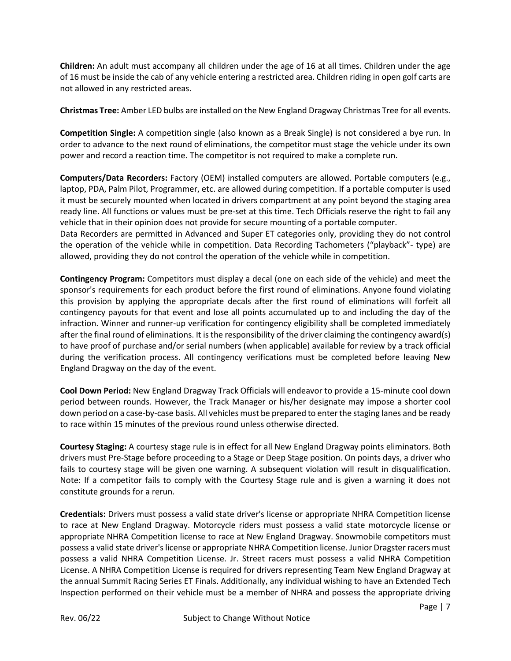**Children:** An adult must accompany all children under the age of 16 at all times. Children under the age of 16 must be inside the cab of any vehicle entering a restricted area. Children riding in open golf carts are not allowed in any restricted areas.

**Christmas Tree:** Amber LED bulbs are installed on the New England Dragway Christmas Tree for all events.

**Competition Single:** A competition single (also known as a Break Single) is not considered a bye run. In order to advance to the next round of eliminations, the competitor must stage the vehicle under its own power and record a reaction time. The competitor is not required to make a complete run.

**Computers/Data Recorders:** Factory (OEM) installed computers are allowed. Portable computers (e.g., laptop, PDA, Palm Pilot, Programmer, etc. are allowed during competition. If a portable computer is used it must be securely mounted when located in drivers compartment at any point beyond the staging area ready line. All functions or values must be pre-set at this time. Tech Officials reserve the right to fail any vehicle that in their opinion does not provide for secure mounting of a portable computer.

Data Recorders are permitted in Advanced and Super ET categories only, providing they do not control the operation of the vehicle while in competition. Data Recording Tachometers ("playback"- type) are allowed, providing they do not control the operation of the vehicle while in competition.

**Contingency Program:** Competitors must display a decal (one on each side of the vehicle) and meet the sponsor's requirements for each product before the first round of eliminations. Anyone found violating this provision by applying the appropriate decals after the first round of eliminations will forfeit all contingency payouts for that event and lose all points accumulated up to and including the day of the infraction. Winner and runner-up verification for contingency eligibility shall be completed immediately after the final round of eliminations. It is the responsibility of the driver claiming the contingency award(s) to have proof of purchase and/or serial numbers (when applicable) available for review by a track official during the verification process. All contingency verifications must be completed before leaving New England Dragway on the day of the event.

**Cool Down Period:** New England Dragway Track Officials will endeavor to provide a 15-minute cool down period between rounds. However, the Track Manager or his/her designate may impose a shorter cool down period on a case-by-case basis. All vehicles must be prepared to enter the staging lanes and be ready to race within 15 minutes of the previous round unless otherwise directed.

**Courtesy Staging:** A courtesy stage rule is in effect for all New England Dragway points eliminators. Both drivers must Pre-Stage before proceeding to a Stage or Deep Stage position. On points days, a driver who fails to courtesy stage will be given one warning. A subsequent violation will result in disqualification. Note: If a competitor fails to comply with the Courtesy Stage rule and is given a warning it does not constitute grounds for a rerun.

**Credentials:** Drivers must possess a valid state driver's license or appropriate NHRA Competition license to race at New England Dragway. Motorcycle riders must possess a valid state motorcycle license or appropriate NHRA Competition license to race at New England Dragway. Snowmobile competitors must possess a valid state driver's license or appropriate NHRA Competition license. Junior Dragster racers must possess a valid NHRA Competition License. Jr. Street racers must possess a valid NHRA Competition License. A NHRA Competition License is required for drivers representing Team New England Dragway at the annual Summit Racing Series ET Finals. Additionally, any individual wishing to have an Extended Tech Inspection performed on their vehicle must be a member of NHRA and possess the appropriate driving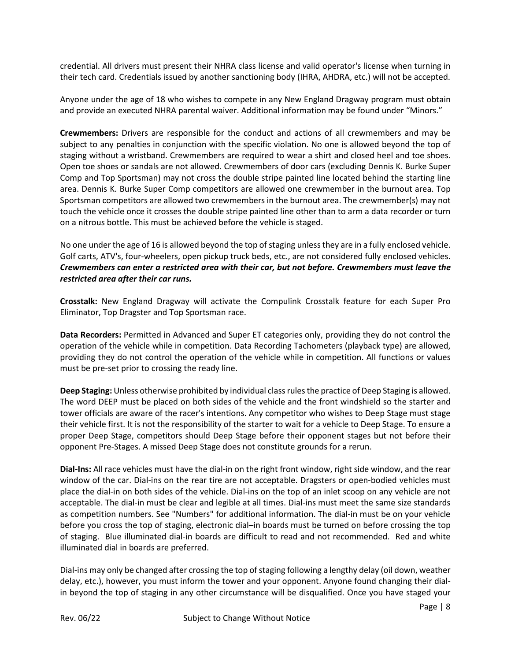credential. All drivers must present their NHRA class license and valid operator's license when turning in their tech card. Credentials issued by another sanctioning body (IHRA, AHDRA, etc.) will not be accepted.

Anyone under the age of 18 who wishes to compete in any New England Dragway program must obtain and provide an executed NHRA parental waiver. Additional information may be found under "Minors."

**Crewmembers:** Drivers are responsible for the conduct and actions of all crewmembers and may be subject to any penalties in conjunction with the specific violation. No one is allowed beyond the top of staging without a wristband. Crewmembers are required to wear a shirt and closed heel and toe shoes. Open toe shoes or sandals are not allowed. Crewmembers of door cars (excluding Dennis K. Burke Super Comp and Top Sportsman) may not cross the double stripe painted line located behind the starting line area. Dennis K. Burke Super Comp competitors are allowed one crewmember in the burnout area. Top Sportsman competitors are allowed two crewmembers in the burnout area. The crewmember(s) may not touch the vehicle once it crosses the double stripe painted line other than to arm a data recorder or turn on a nitrous bottle. This must be achieved before the vehicle is staged.

No one under the age of 16 is allowed beyond the top of staging unless they are in a fully enclosed vehicle. Golf carts, ATV's, four-wheelers, open pickup truck beds, etc., are not considered fully enclosed vehicles. *Crewmembers can enter a restricted area with their car, but not before. Crewmembers must leave the restricted area after their car runs.*

**Crosstalk:** New England Dragway will activate the Compulink Crosstalk feature for each Super Pro Eliminator, Top Dragster and Top Sportsman race.

**Data Recorders:** Permitted in Advanced and Super ET categories only, providing they do not control the operation of the vehicle while in competition. Data Recording Tachometers (playback type) are allowed, providing they do not control the operation of the vehicle while in competition. All functions or values must be pre-set prior to crossing the ready line.

**Deep Staging:** Unless otherwise prohibited by individual class rules the practice of Deep Staging is allowed. The word DEEP must be placed on both sides of the vehicle and the front windshield so the starter and tower officials are aware of the racer's intentions. Any competitor who wishes to Deep Stage must stage their vehicle first. It is not the responsibility of the starter to wait for a vehicle to Deep Stage. To ensure a proper Deep Stage, competitors should Deep Stage before their opponent stages but not before their opponent Pre-Stages. A missed Deep Stage does not constitute grounds for a rerun.

**Dial-Ins:** All race vehicles must have the dial-in on the right front window, right side window, and the rear window of the car. Dial-ins on the rear tire are not acceptable. Dragsters or open-bodied vehicles must place the dial-in on both sides of the vehicle. Dial-ins on the top of an inlet scoop on any vehicle are not acceptable. The dial-in must be clear and legible at all times. Dial-ins must meet the same size standards as competition numbers. See "Numbers" for additional information. The dial-in must be on your vehicle before you cross the top of staging, electronic dial–in boards must be turned on before crossing the top of staging. Blue illuminated dial-in boards are difficult to read and not recommended. Red and white illuminated dial in boards are preferred.

Dial-ins may only be changed after crossing the top of staging following a lengthy delay (oil down, weather delay, etc.), however, you must inform the tower and your opponent. Anyone found changing their dialin beyond the top of staging in any other circumstance will be disqualified. Once you have staged your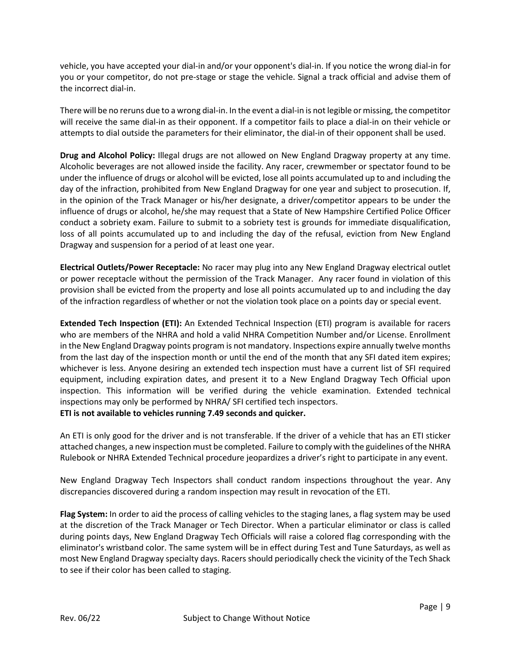vehicle, you have accepted your dial-in and/or your opponent's dial-in. If you notice the wrong dial-in for you or your competitor, do not pre-stage or stage the vehicle. Signal a track official and advise them of the incorrect dial-in.

There will be no reruns due to a wrong dial-in. In the event a dial-in is not legible or missing, the competitor will receive the same dial-in as their opponent. If a competitor fails to place a dial-in on their vehicle or attempts to dial outside the parameters for their eliminator, the dial-in of their opponent shall be used.

**Drug and Alcohol Policy:** Illegal drugs are not allowed on New England Dragway property at any time. Alcoholic beverages are not allowed inside the facility. Any racer, crewmember or spectator found to be under the influence of drugs or alcohol will be evicted, lose all points accumulated up to and including the day of the infraction, prohibited from New England Dragway for one year and subject to prosecution. If, in the opinion of the Track Manager or his/her designate, a driver/competitor appears to be under the influence of drugs or alcohol, he/she may request that a State of New Hampshire Certified Police Officer conduct a sobriety exam. Failure to submit to a sobriety test is grounds for immediate disqualification, loss of all points accumulated up to and including the day of the refusal, eviction from New England Dragway and suspension for a period of at least one year.

**Electrical Outlets/Power Receptacle:** No racer may plug into any New England Dragway electrical outlet or power receptacle without the permission of the Track Manager. Any racer found in violation of this provision shall be evicted from the property and lose all points accumulated up to and including the day of the infraction regardless of whether or not the violation took place on a points day or special event.

**Extended Tech Inspection (ETI):** An Extended Technical Inspection (ETI) program is available for racers who are members of the NHRA and hold a valid NHRA Competition Number and/or License. Enrollment in the New England Dragway points program is not mandatory. Inspections expire annually twelve months from the last day of the inspection month or until the end of the month that any SFI dated item expires; whichever is less. Anyone desiring an extended tech inspection must have a current list of SFI required equipment, including expiration dates, and present it to a New England Dragway Tech Official upon inspection. This information will be verified during the vehicle examination. Extended technical inspections may only be performed by NHRA/ SFI certified tech inspectors.

**ETI is not available to vehicles running 7.49 seconds and quicker.**

An ETI is only good for the driver and is not transferable. If the driver of a vehicle that has an ETI sticker attached changes, a new inspection must be completed. Failure to comply with the guidelines of the NHRA Rulebook or NHRA Extended Technical procedure jeopardizes a driver's right to participate in any event.

New England Dragway Tech Inspectors shall conduct random inspections throughout the year. Any discrepancies discovered during a random inspection may result in revocation of the ETI.

**Flag System:** In order to aid the process of calling vehicles to the staging lanes, a flag system may be used at the discretion of the Track Manager or Tech Director. When a particular eliminator or class is called during points days, New England Dragway Tech Officials will raise a colored flag corresponding with the eliminator's wristband color. The same system will be in effect during Test and Tune Saturdays, as well as most New England Dragway specialty days. Racers should periodically check the vicinity of the Tech Shack to see if their color has been called to staging.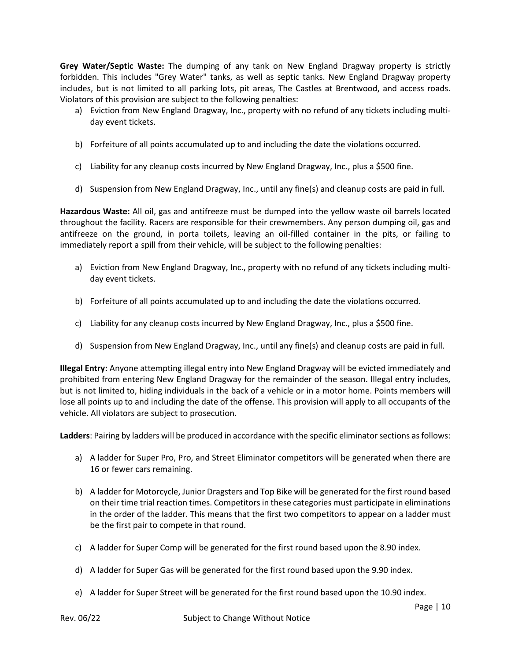**Grey Water/Septic Waste:** The dumping of any tank on New England Dragway property is strictly forbidden. This includes "Grey Water" tanks, as well as septic tanks. New England Dragway property includes, but is not limited to all parking lots, pit areas, The Castles at Brentwood, and access roads. Violators of this provision are subject to the following penalties:

- a) Eviction from New England Dragway, Inc., property with no refund of any tickets including multiday event tickets.
- b) Forfeiture of all points accumulated up to and including the date the violations occurred.
- c) Liability for any cleanup costs incurred by New England Dragway, Inc., plus a \$500 fine.
- d) Suspension from New England Dragway, Inc., until any fine(s) and cleanup costs are paid in full.

**Hazardous Waste:** All oil, gas and antifreeze must be dumped into the yellow waste oil barrels located throughout the facility. Racers are responsible for their crewmembers. Any person dumping oil, gas and antifreeze on the ground, in porta toilets, leaving an oil-filled container in the pits, or failing to immediately report a spill from their vehicle, will be subject to the following penalties:

- a) Eviction from New England Dragway, Inc., property with no refund of any tickets including multiday event tickets.
- b) Forfeiture of all points accumulated up to and including the date the violations occurred.
- c) Liability for any cleanup costs incurred by New England Dragway, Inc., plus a \$500 fine.
- d) Suspension from New England Dragway, Inc., until any fine(s) and cleanup costs are paid in full.

**Illegal Entry:** Anyone attempting illegal entry into New England Dragway will be evicted immediately and prohibited from entering New England Dragway for the remainder of the season. Illegal entry includes, but is not limited to, hiding individuals in the back of a vehicle or in a motor home. Points members will lose all points up to and including the date of the offense. This provision will apply to all occupants of the vehicle. All violators are subject to prosecution.

**Ladders**: Pairing by ladders will be produced in accordance with the specific eliminator sections as follows:

- a) A ladder for Super Pro, Pro, and Street Eliminator competitors will be generated when there are 16 or fewer cars remaining.
- b) A ladder for Motorcycle, Junior Dragsters and Top Bike will be generated for the first round based on their time trial reaction times. Competitors in these categories must participate in eliminations in the order of the ladder. This means that the first two competitors to appear on a ladder must be the first pair to compete in that round.
- c) A ladder for Super Comp will be generated for the first round based upon the 8.90 index.
- d) A ladder for Super Gas will be generated for the first round based upon the 9.90 index.
- e) A ladder for Super Street will be generated for the first round based upon the 10.90 index.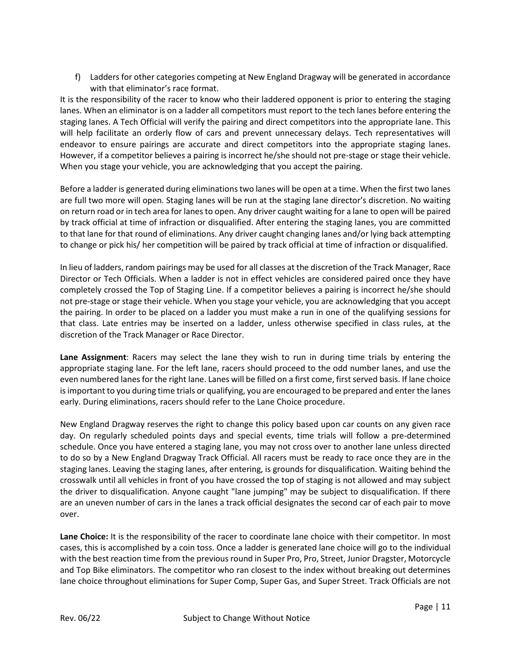f) Ladders for other categories competing at New England Dragway will be generated in accordance with that eliminator's race format.

It is the responsibility of the racer to know who their laddered opponent is prior to entering the staging lanes. When an eliminator is on a ladder all competitors must report to the tech lanes before entering the staging lanes. A Tech Official will verify the pairing and direct competitors into the appropriate lane. This will help facilitate an orderly flow of cars and prevent unnecessary delays. Tech representatives will endeavor to ensure pairings are accurate and direct competitors into the appropriate staging lanes. However, if a competitor believes a pairing is incorrect he/she should not pre-stage or stage their vehicle. When you stage your vehicle, you are acknowledging that you accept the pairing.

Before a ladder is generated during eliminations two lanes will be open at a time. When the first two lanes are full two more will open. Staging lanes will be run at the staging lane director's discretion. No waiting on return road or in tech area for lanes to open. Any driver caught waiting for a lane to open will be paired by track official at time of infraction or disqualified. After entering the staging lanes, you are committed to that lane for that round of eliminations. Any driver caught changing lanes and/or lying back attempting to change or pick his/ her competition will be paired by track official at time of infraction or disqualified.

In lieu of ladders, random pairings may be used for all classes at the discretion of the Track Manager, Race Director or Tech Officials. When a ladder is not in effect vehicles are considered paired once they have completely crossed the Top of Staging Line. If a competitor believes a pairing is incorrect he/she should not pre-stage or stage their vehicle. When you stage your vehicle, you are acknowledging that you accept the pairing. In order to be placed on a ladder you must make a run in one of the qualifying sessions for that class. Late entries may be inserted on a ladder, unless otherwise specified in class rules, at the discretion of the Track Manager or Race Director.

**Lane Assignment**: Racers may select the lane they wish to run in during time trials by entering the appropriate staging lane. For the left lane, racers should proceed to the odd number lanes, and use the even numbered lanes for the right lane. Lanes will be filled on a first come, first served basis. If lane choice is important to you during time trials or qualifying, you are encouraged to be prepared and enter the lanes early. During eliminations, racers should refer to the Lane Choice procedure.

New England Dragway reserves the right to change this policy based upon car counts on any given race day. On regularly scheduled points days and special events, time trials will follow a pre-determined schedule. Once you have entered a staging lane, you may not cross over to another lane unless directed to do so by a New England Dragway Track Official. All racers must be ready to race once they are in the staging lanes. Leaving the staging lanes, after entering, is grounds for disqualification. Waiting behind the crosswalk until all vehicles in front of you have crossed the top of staging is not allowed and may subject the driver to disqualification. Anyone caught "lane jumping" may be subject to disqualification. If there are an uneven number of cars in the lanes a track official designates the second car of each pair to move over.

**Lane Choice:** It is the responsibility of the racer to coordinate lane choice with their competitor. In most cases, this is accomplished by a coin toss. Once a ladder is generated lane choice will go to the individual with the best reaction time from the previous round in Super Pro, Pro, Street, Junior Dragster, Motorcycle and Top Bike eliminators. The competitor who ran closest to the index without breaking out determines lane choice throughout eliminations for Super Comp, Super Gas, and Super Street. Track Officials are not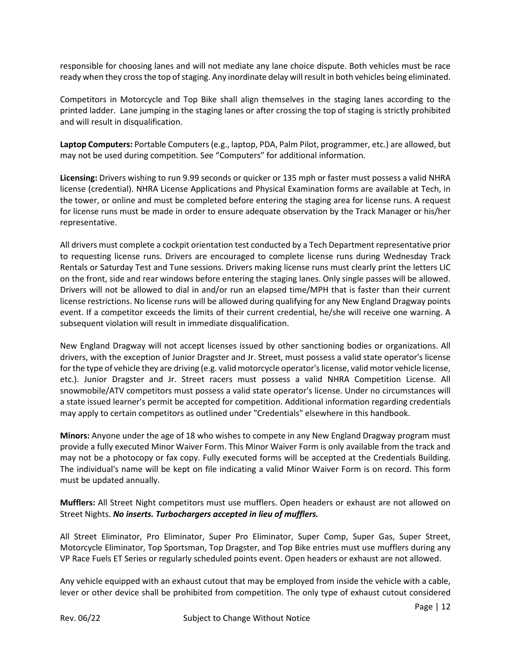responsible for choosing lanes and will not mediate any lane choice dispute. Both vehicles must be race ready when they cross the top of staging. Any inordinate delay will result in both vehicles being eliminated.

Competitors in Motorcycle and Top Bike shall align themselves in the staging lanes according to the printed ladder. Lane jumping in the staging lanes or after crossing the top of staging is strictly prohibited and will result in disqualification.

**Laptop Computers:** Portable Computers (e.g., laptop, PDA, Palm Pilot, programmer, etc.) are allowed, but may not be used during competition. See "Computers" for additional information.

**Licensing:** Drivers wishing to run 9.99 seconds or quicker or 135 mph or faster must possess a valid NHRA license (credential). NHRA License Applications and Physical Examination forms are available at Tech, in the tower, or online and must be completed before entering the staging area for license runs. A request for license runs must be made in order to ensure adequate observation by the Track Manager or his/her representative.

All drivers must complete a cockpit orientation test conducted by a Tech Department representative prior to requesting license runs. Drivers are encouraged to complete license runs during Wednesday Track Rentals or Saturday Test and Tune sessions. Drivers making license runs must clearly print the letters LIC on the front, side and rear windows before entering the staging lanes. Only single passes will be allowed. Drivers will not be allowed to dial in and/or run an elapsed time/MPH that is faster than their current license restrictions. No license runs will be allowed during qualifying for any New England Dragway points event. If a competitor exceeds the limits of their current credential, he/she will receive one warning. A subsequent violation will result in immediate disqualification.

New England Dragway will not accept licenses issued by other sanctioning bodies or organizations. All drivers, with the exception of Junior Dragster and Jr. Street, must possess a valid state operator's license for the type of vehicle they are driving (e.g. valid motorcycle operator's license, valid motor vehicle license, etc.). Junior Dragster and Jr. Street racers must possess a valid NHRA Competition License. All snowmobile/ATV competitors must possess a valid state operator's license. Under no circumstances will a state issued learner's permit be accepted for competition. Additional information regarding credentials may apply to certain competitors as outlined under "Credentials" elsewhere in this handbook.

**Minors:** Anyone under the age of 18 who wishes to compete in any New England Dragway program must provide a fully executed Minor Waiver Form. This Minor Waiver Form is only available from the track and may not be a photocopy or fax copy. Fully executed forms will be accepted at the Credentials Building. The individual's name will be kept on file indicating a valid Minor Waiver Form is on record. This form must be updated annually.

**Mufflers:** All Street Night competitors must use mufflers. Open headers or exhaust are not allowed on Street Nights. *No inserts. Turbochargers accepted in lieu of mufflers.*

All Street Eliminator, Pro Eliminator, Super Pro Eliminator, Super Comp, Super Gas, Super Street, Motorcycle Eliminator, Top Sportsman, Top Dragster, and Top Bike entries must use mufflers during any VP Race Fuels ET Series or regularly scheduled points event. Open headers or exhaust are not allowed.

Any vehicle equipped with an exhaust cutout that may be employed from inside the vehicle with a cable, lever or other device shall be prohibited from competition. The only type of exhaust cutout considered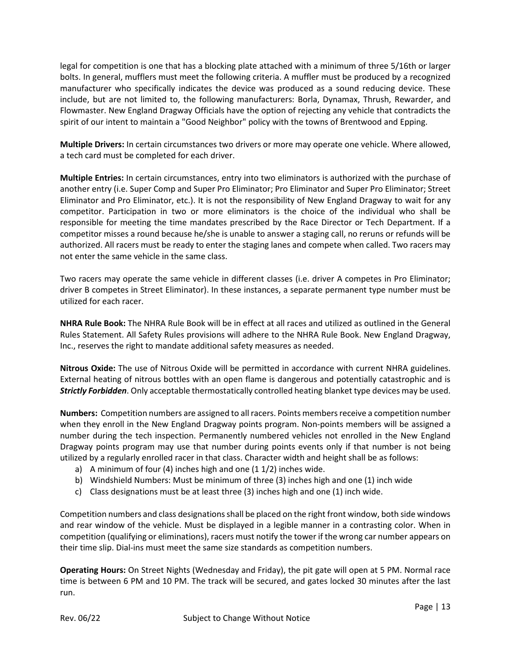legal for competition is one that has a blocking plate attached with a minimum of three 5/16th or larger bolts. In general, mufflers must meet the following criteria. A muffler must be produced by a recognized manufacturer who specifically indicates the device was produced as a sound reducing device. These include, but are not limited to, the following manufacturers: Borla, Dynamax, Thrush, Rewarder, and Flowmaster. New England Dragway Officials have the option of rejecting any vehicle that contradicts the spirit of our intent to maintain a "Good Neighbor" policy with the towns of Brentwood and Epping.

**Multiple Drivers:** In certain circumstances two drivers or more may operate one vehicle. Where allowed, a tech card must be completed for each driver.

**Multiple Entries:** In certain circumstances, entry into two eliminators is authorized with the purchase of another entry (i.e. Super Comp and Super Pro Eliminator; Pro Eliminator and Super Pro Eliminator; Street Eliminator and Pro Eliminator, etc.). It is not the responsibility of New England Dragway to wait for any competitor. Participation in two or more eliminators is the choice of the individual who shall be responsible for meeting the time mandates prescribed by the Race Director or Tech Department. If a competitor misses a round because he/she is unable to answer a staging call, no reruns or refunds will be authorized. All racers must be ready to enter the staging lanes and compete when called. Two racers may not enter the same vehicle in the same class.

Two racers may operate the same vehicle in different classes (i.e. driver A competes in Pro Eliminator; driver B competes in Street Eliminator). In these instances, a separate permanent type number must be utilized for each racer.

**NHRA Rule Book:** The NHRA Rule Book will be in effect at all races and utilized as outlined in the General Rules Statement. All Safety Rules provisions will adhere to the NHRA Rule Book. New England Dragway, Inc., reserves the right to mandate additional safety measures as needed.

**Nitrous Oxide:** The use of Nitrous Oxide will be permitted in accordance with current NHRA guidelines. External heating of nitrous bottles with an open flame is dangerous and potentially catastrophic and is *Strictly Forbidden*. Only acceptable thermostatically controlled heating blanket type devices may be used.

**Numbers:** Competition numbers are assigned to all racers. Points members receive a competition number when they enroll in the New England Dragway points program. Non-points members will be assigned a number during the tech inspection. Permanently numbered vehicles not enrolled in the New England Dragway points program may use that number during points events only if that number is not being utilized by a regularly enrolled racer in that class. Character width and height shall be as follows:

- a) A minimum of four (4) inches high and one (1 1/2) inches wide.
- b) Windshield Numbers: Must be minimum of three (3) inches high and one (1) inch wide
- c) Class designations must be at least three (3) inches high and one (1) inch wide.

Competition numbers and class designations shall be placed on the right front window, both side windows and rear window of the vehicle. Must be displayed in a legible manner in a contrasting color. When in competition (qualifying or eliminations), racers must notify the tower if the wrong car number appears on their time slip. Dial-ins must meet the same size standards as competition numbers.

**Operating Hours:** On Street Nights (Wednesday and Friday), the pit gate will open at 5 PM. Normal race time is between 6 PM and 10 PM. The track will be secured, and gates locked 30 minutes after the last run.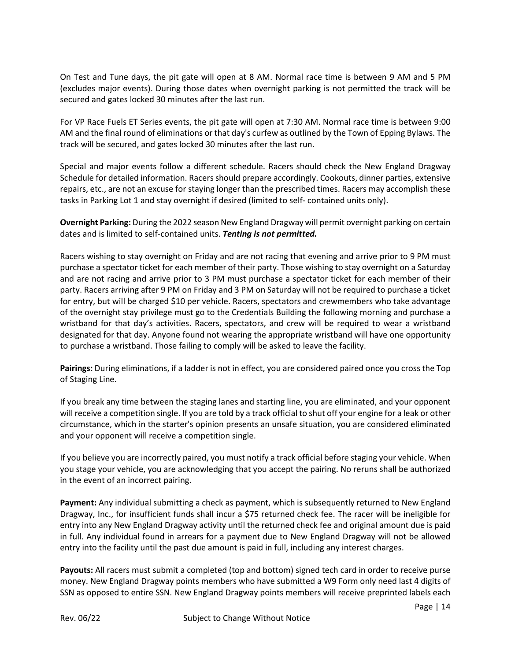On Test and Tune days, the pit gate will open at 8 AM. Normal race time is between 9 AM and 5 PM (excludes major events). During those dates when overnight parking is not permitted the track will be secured and gates locked 30 minutes after the last run.

For VP Race Fuels ET Series events, the pit gate will open at 7:30 AM. Normal race time is between 9:00 AM and the final round of eliminations or that day's curfew as outlined by the Town of Epping Bylaws. The track will be secured, and gates locked 30 minutes after the last run.

Special and major events follow a different schedule. Racers should check the New England Dragway Schedule for detailed information. Racers should prepare accordingly. Cookouts, dinner parties, extensive repairs, etc., are not an excuse for staying longer than the prescribed times. Racers may accomplish these tasks in Parking Lot 1 and stay overnight if desired (limited to self- contained units only).

**Overnight Parking:** During the 2022 season New England Dragway will permit overnight parking on certain dates and is limited to self-contained units. *Tenting is not permitted.*

Racers wishing to stay overnight on Friday and are not racing that evening and arrive prior to 9 PM must purchase a spectator ticket for each member of their party. Those wishing to stay overnight on a Saturday and are not racing and arrive prior to 3 PM must purchase a spectator ticket for each member of their party. Racers arriving after 9 PM on Friday and 3 PM on Saturday will not be required to purchase a ticket for entry, but will be charged \$10 per vehicle. Racers, spectators and crewmembers who take advantage of the overnight stay privilege must go to the Credentials Building the following morning and purchase a wristband for that day's activities. Racers, spectators, and crew will be required to wear a wristband designated for that day. Anyone found not wearing the appropriate wristband will have one opportunity to purchase a wristband. Those failing to comply will be asked to leave the facility.

**Pairings:** During eliminations, if a ladder is not in effect, you are considered paired once you cross the Top of Staging Line.

If you break any time between the staging lanes and starting line, you are eliminated, and your opponent will receive a competition single. If you are told by a track official to shut off your engine for a leak or other circumstance, which in the starter's opinion presents an unsafe situation, you are considered eliminated and your opponent will receive a competition single.

If you believe you are incorrectly paired, you must notify a track official before staging your vehicle. When you stage your vehicle, you are acknowledging that you accept the pairing. No reruns shall be authorized in the event of an incorrect pairing.

**Payment:** Any individual submitting a check as payment, which is subsequently returned to New England Dragway, Inc., for insufficient funds shall incur a \$75 returned check fee. The racer will be ineligible for entry into any New England Dragway activity until the returned check fee and original amount due is paid in full. Any individual found in arrears for a payment due to New England Dragway will not be allowed entry into the facility until the past due amount is paid in full, including any interest charges.

**Payouts:** All racers must submit a completed (top and bottom) signed tech card in order to receive purse money. New England Dragway points members who have submitted a W9 Form only need last 4 digits of SSN as opposed to entire SSN. New England Dragway points members will receive preprinted labels each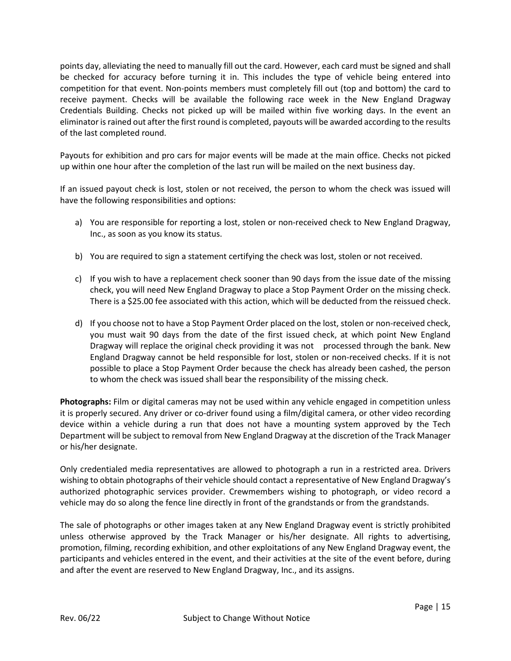points day, alleviating the need to manually fill out the card. However, each card must be signed and shall be checked for accuracy before turning it in. This includes the type of vehicle being entered into competition for that event. Non-points members must completely fill out (top and bottom) the card to receive payment. Checks will be available the following race week in the New England Dragway Credentials Building. Checks not picked up will be mailed within five working days. In the event an eliminator is rained out after the first round is completed, payouts will be awarded according to the results of the last completed round.

Payouts for exhibition and pro cars for major events will be made at the main office. Checks not picked up within one hour after the completion of the last run will be mailed on the next business day.

If an issued payout check is lost, stolen or not received, the person to whom the check was issued will have the following responsibilities and options:

- a) You are responsible for reporting a lost, stolen or non-received check to New England Dragway, Inc., as soon as you know its status.
- b) You are required to sign a statement certifying the check was lost, stolen or not received.
- c) If you wish to have a replacement check sooner than 90 days from the issue date of the missing check, you will need New England Dragway to place a Stop Payment Order on the missing check. There is a \$25.00 fee associated with this action, which will be deducted from the reissued check.
- d) If you choose not to have a Stop Payment Order placed on the lost, stolen or non-received check, you must wait 90 days from the date of the first issued check, at which point New England Dragway will replace the original check providing it was not processed through the bank. New England Dragway cannot be held responsible for lost, stolen or non-received checks. If it is not possible to place a Stop Payment Order because the check has already been cashed, the person to whom the check was issued shall bear the responsibility of the missing check.

**Photographs:** Film or digital cameras may not be used within any vehicle engaged in competition unless it is properly secured. Any driver or co-driver found using a film/digital camera, or other video recording device within a vehicle during a run that does not have a mounting system approved by the Tech Department will be subject to removal from New England Dragway at the discretion of the Track Manager or his/her designate.

Only credentialed media representatives are allowed to photograph a run in a restricted area. Drivers wishing to obtain photographs of their vehicle should contact a representative of New England Dragway's authorized photographic services provider. Crewmembers wishing to photograph, or video record a vehicle may do so along the fence line directly in front of the grandstands or from the grandstands.

The sale of photographs or other images taken at any New England Dragway event is strictly prohibited unless otherwise approved by the Track Manager or his/her designate. All rights to advertising, promotion, filming, recording exhibition, and other exploitations of any New England Dragway event, the participants and vehicles entered in the event, and their activities at the site of the event before, during and after the event are reserved to New England Dragway, Inc., and its assigns.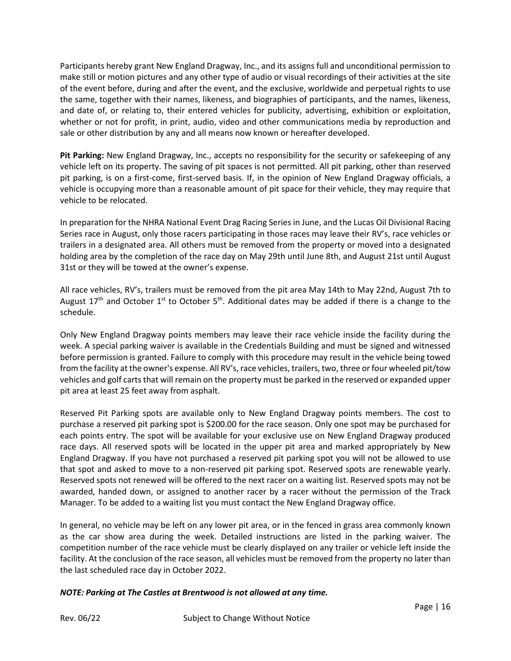Participants hereby grant New England Dragway, Inc., and its assigns full and unconditional permission to make still or motion pictures and any other type of audio or visual recordings of their activities at the site of the event before, during and after the event, and the exclusive, worldwide and perpetual rights to use the same, together with their names, likeness, and biographies of participants, and the names, likeness, and date of, or relating to, their entered vehicles for publicity, advertising, exhibition or exploitation, whether or not for profit, in print, audio, video and other communications media by reproduction and sale or other distribution by any and all means now known or hereafter developed.

**Pit Parking:** New England Dragway, Inc., accepts no responsibility for the security or safekeeping of any vehicle left on its property. The saving of pit spaces is not permitted. All pit parking, other than reserved pit parking, is on a first-come, first-served basis. If, in the opinion of New England Dragway officials, a vehicle is occupying more than a reasonable amount of pit space for their vehicle, they may require that vehicle to be relocated.

In preparation for the NHRA National Event Drag Racing Series in June, and the Lucas Oil Divisional Racing Series race in August, only those racers participating in those races may leave their RV's, race vehicles or trailers in a designated area. All others must be removed from the property or moved into a designated holding area by the completion of the race day on May 29th until June 8th, and August 21st until August 31st or they will be towed at the owner's expense.

All race vehicles, RV's, trailers must be removed from the pit area May 14th to May 22nd, August 7th to August 17<sup>th</sup> and October 1<sup>st</sup> to October 5<sup>th</sup>. Additional dates may be added if there is a change to the schedule.

Only New England Dragway points members may leave their race vehicle inside the facility during the week. A special parking waiver is available in the Credentials Building and must be signed and witnessed before permission is granted. Failure to comply with this procedure may result in the vehicle being towed from the facility at the owner's expense. All RV's, race vehicles, trailers, two, three or four wheeled pit/tow vehicles and golf carts that will remain on the property must be parked in the reserved or expanded upper pit area at least 25 feet away from asphalt.

Reserved Pit Parking spots are available only to New England Dragway points members. The cost to purchase a reserved pit parking spot is \$200.00 for the race season. Only one spot may be purchased for each points entry. The spot will be available for your exclusive use on New England Dragway produced race days. All reserved spots will be located in the upper pit area and marked appropriately by New England Dragway. If you have not purchased a reserved pit parking spot you will not be allowed to use that spot and asked to move to a non-reserved pit parking spot. Reserved spots are renewable yearly. Reserved spots not renewed will be offered to the next racer on a waiting list. Reserved spots may not be awarded, handed down, or assigned to another racer by a racer without the permission of the Track Manager. To be added to a waiting list you must contact the New England Dragway office.

In general, no vehicle may be left on any lower pit area, or in the fenced in grass area commonly known as the car show area during the week. Detailed instructions are listed in the parking waiver. The competition number of the race vehicle must be clearly displayed on any trailer or vehicle left inside the facility. At the conclusion of the race season, all vehicles must be removed from the property no later than the last scheduled race day in October 2022.

# *NOTE: Parking at The Castles at Brentwood is not allowed at any time.*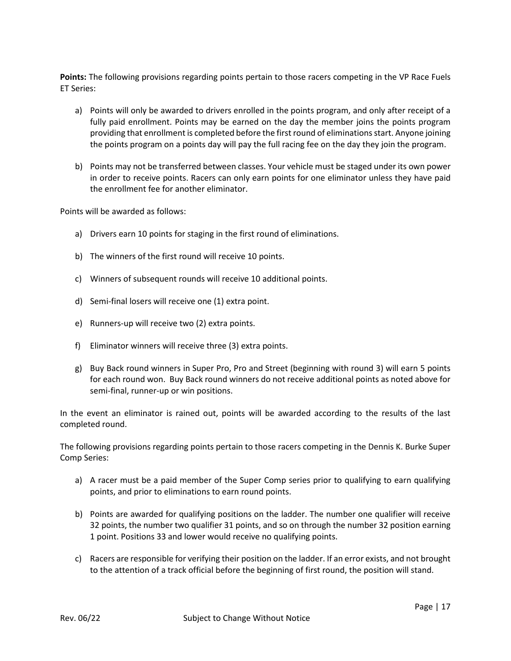**Points:** The following provisions regarding points pertain to those racers competing in the VP Race Fuels ET Series:

- a) Points will only be awarded to drivers enrolled in the points program, and only after receipt of a fully paid enrollment. Points may be earned on the day the member joins the points program providing that enrollment is completed before the first round of eliminations start. Anyone joining the points program on a points day will pay the full racing fee on the day they join the program.
- b) Points may not be transferred between classes. Your vehicle must be staged under its own power in order to receive points. Racers can only earn points for one eliminator unless they have paid the enrollment fee for another eliminator.

Points will be awarded as follows:

- a) Drivers earn 10 points for staging in the first round of eliminations.
- b) The winners of the first round will receive 10 points.
- c) Winners of subsequent rounds will receive 10 additional points.
- d) Semi-final losers will receive one (1) extra point.
- e) Runners-up will receive two (2) extra points.
- f) Eliminator winners will receive three (3) extra points.
- g) Buy Back round winners in Super Pro, Pro and Street (beginning with round 3) will earn 5 points for each round won. Buy Back round winners do not receive additional points as noted above for semi-final, runner-up or win positions.

In the event an eliminator is rained out, points will be awarded according to the results of the last completed round.

The following provisions regarding points pertain to those racers competing in the Dennis K. Burke Super Comp Series:

- a) A racer must be a paid member of the Super Comp series prior to qualifying to earn qualifying points, and prior to eliminations to earn round points.
- b) Points are awarded for qualifying positions on the ladder. The number one qualifier will receive 32 points, the number two qualifier 31 points, and so on through the number 32 position earning 1 point. Positions 33 and lower would receive no qualifying points.
- c) Racers are responsible for verifying their position on the ladder. If an error exists, and not brought to the attention of a track official before the beginning of first round, the position will stand.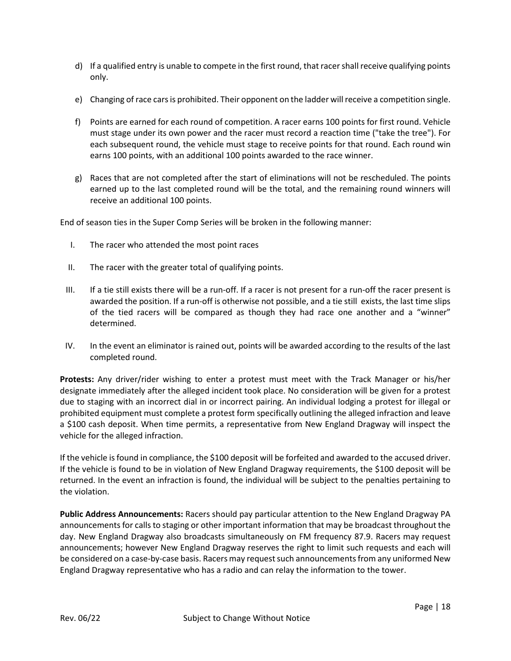- d) If a qualified entry is unable to compete in the first round, that racer shall receive qualifying points only.
- e) Changing of race cars is prohibited. Their opponent on the ladder willreceive a competition single.
- f) Points are earned for each round of competition. A racer earns 100 points for first round. Vehicle must stage under its own power and the racer must record a reaction time ("take the tree"). For each subsequent round, the vehicle must stage to receive points for that round. Each round win earns 100 points, with an additional 100 points awarded to the race winner.
- g) Races that are not completed after the start of eliminations will not be rescheduled. The points earned up to the last completed round will be the total, and the remaining round winners will receive an additional 100 points.

End of season ties in the Super Comp Series will be broken in the following manner:

- I. The racer who attended the most point races
- II. The racer with the greater total of qualifying points.
- III. If a tie still exists there will be a run-off. If a racer is not present for a run-off the racer present is awarded the position. If a run-off is otherwise not possible, and a tie still exists, the last time slips of the tied racers will be compared as though they had race one another and a "winner" determined.
- IV. In the event an eliminator is rained out, points will be awarded according to the results of the last completed round.

**Protests:** Any driver/rider wishing to enter a protest must meet with the Track Manager or his/her designate immediately after the alleged incident took place. No consideration will be given for a protest due to staging with an incorrect dial in or incorrect pairing. An individual lodging a protest for illegal or prohibited equipment must complete a protest form specifically outlining the alleged infraction and leave a \$100 cash deposit. When time permits, a representative from New England Dragway will inspect the vehicle for the alleged infraction.

If the vehicle is found in compliance, the \$100 deposit will be forfeited and awarded to the accused driver. If the vehicle is found to be in violation of New England Dragway requirements, the \$100 deposit will be returned. In the event an infraction is found, the individual will be subject to the penalties pertaining to the violation.

**Public Address Announcements:** Racers should pay particular attention to the New England Dragway PA announcements for calls to staging or other important information that may be broadcast throughout the day. New England Dragway also broadcasts simultaneously on FM frequency 87.9. Racers may request announcements; however New England Dragway reserves the right to limit such requests and each will be considered on a case-by-case basis. Racers may request such announcements from any uniformed New England Dragway representative who has a radio and can relay the information to the tower.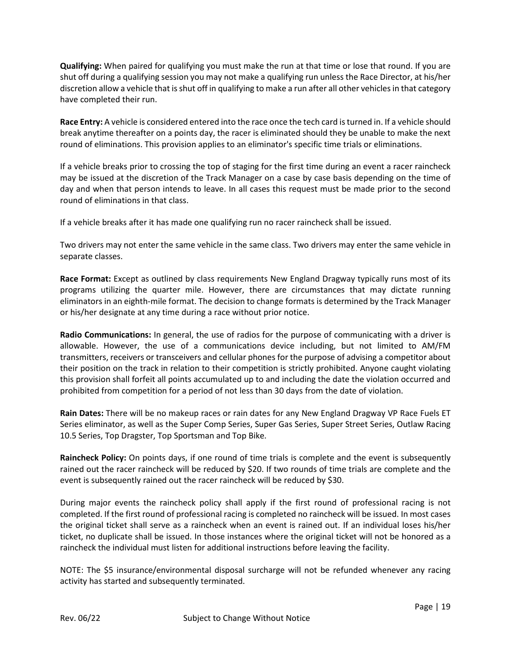**Qualifying:** When paired for qualifying you must make the run at that time or lose that round. If you are shut off during a qualifying session you may not make a qualifying run unless the Race Director, at his/her discretion allow a vehicle that is shut off in qualifying to make a run after all other vehicles in that category have completed their run.

**Race Entry:** A vehicle is considered entered into the race once the tech card is turned in. If a vehicle should break anytime thereafter on a points day, the racer is eliminated should they be unable to make the next round of eliminations. This provision applies to an eliminator's specific time trials or eliminations.

If a vehicle breaks prior to crossing the top of staging for the first time during an event a racer raincheck may be issued at the discretion of the Track Manager on a case by case basis depending on the time of day and when that person intends to leave. In all cases this request must be made prior to the second round of eliminations in that class.

If a vehicle breaks after it has made one qualifying run no racer raincheck shall be issued.

Two drivers may not enter the same vehicle in the same class. Two drivers may enter the same vehicle in separate classes.

**Race Format:** Except as outlined by class requirements New England Dragway typically runs most of its programs utilizing the quarter mile. However, there are circumstances that may dictate running eliminators in an eighth-mile format. The decision to change formats is determined by the Track Manager or his/her designate at any time during a race without prior notice.

**Radio Communications:** In general, the use of radios for the purpose of communicating with a driver is allowable. However, the use of a communications device including, but not limited to AM/FM transmitters, receivers or transceivers and cellular phones for the purpose of advising a competitor about their position on the track in relation to their competition is strictly prohibited. Anyone caught violating this provision shall forfeit all points accumulated up to and including the date the violation occurred and prohibited from competition for a period of not less than 30 days from the date of violation.

**Rain Dates:** There will be no makeup races or rain dates for any New England Dragway VP Race Fuels ET Series eliminator, as well as the Super Comp Series, Super Gas Series, Super Street Series, Outlaw Racing 10.5 Series, Top Dragster, Top Sportsman and Top Bike.

**Raincheck Policy:** On points days, if one round of time trials is complete and the event is subsequently rained out the racer raincheck will be reduced by \$20. If two rounds of time trials are complete and the event is subsequently rained out the racer raincheck will be reduced by \$30.

During major events the raincheck policy shall apply if the first round of professional racing is not completed. If the first round of professional racing is completed no raincheck will be issued. In most cases the original ticket shall serve as a raincheck when an event is rained out. If an individual loses his/her ticket, no duplicate shall be issued. In those instances where the original ticket will not be honored as a raincheck the individual must listen for additional instructions before leaving the facility.

NOTE: The \$5 insurance/environmental disposal surcharge will not be refunded whenever any racing activity has started and subsequently terminated.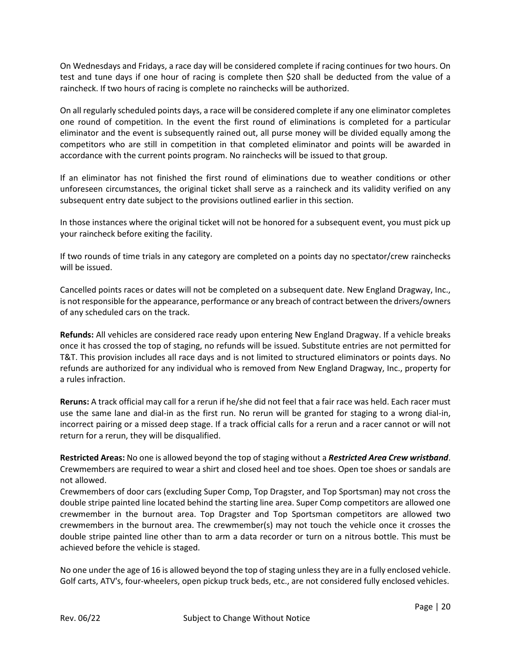On Wednesdays and Fridays, a race day will be considered complete if racing continues for two hours. On test and tune days if one hour of racing is complete then \$20 shall be deducted from the value of a raincheck. If two hours of racing is complete no rainchecks will be authorized.

On all regularly scheduled points days, a race will be considered complete if any one eliminator completes one round of competition. In the event the first round of eliminations is completed for a particular eliminator and the event is subsequently rained out, all purse money will be divided equally among the competitors who are still in competition in that completed eliminator and points will be awarded in accordance with the current points program. No rainchecks will be issued to that group.

If an eliminator has not finished the first round of eliminations due to weather conditions or other unforeseen circumstances, the original ticket shall serve as a raincheck and its validity verified on any subsequent entry date subject to the provisions outlined earlier in this section.

In those instances where the original ticket will not be honored for a subsequent event, you must pick up your raincheck before exiting the facility.

If two rounds of time trials in any category are completed on a points day no spectator/crew rainchecks will be issued.

Cancelled points races or dates will not be completed on a subsequent date. New England Dragway, Inc., is not responsible for the appearance, performance or any breach of contract between the drivers/owners of any scheduled cars on the track.

**Refunds:** All vehicles are considered race ready upon entering New England Dragway. If a vehicle breaks once it has crossed the top of staging, no refunds will be issued. Substitute entries are not permitted for T&T. This provision includes all race days and is not limited to structured eliminators or points days. No refunds are authorized for any individual who is removed from New England Dragway, Inc., property for a rules infraction.

**Reruns:** A track official may call for a rerun if he/she did not feel that a fair race was held. Each racer must use the same lane and dial-in as the first run. No rerun will be granted for staging to a wrong dial-in, incorrect pairing or a missed deep stage. If a track official calls for a rerun and a racer cannot or will not return for a rerun, they will be disqualified.

**Restricted Areas:** No one is allowed beyond the top of staging without a *Restricted Area Crew wristband*. Crewmembers are required to wear a shirt and closed heel and toe shoes. Open toe shoes or sandals are not allowed.

Crewmembers of door cars (excluding Super Comp, Top Dragster, and Top Sportsman) may not cross the double stripe painted line located behind the starting line area. Super Comp competitors are allowed one crewmember in the burnout area. Top Dragster and Top Sportsman competitors are allowed two crewmembers in the burnout area. The crewmember(s) may not touch the vehicle once it crosses the double stripe painted line other than to arm a data recorder or turn on a nitrous bottle. This must be achieved before the vehicle is staged.

No one under the age of 16 is allowed beyond the top of staging unless they are in a fully enclosed vehicle. Golf carts, ATV's, four-wheelers, open pickup truck beds, etc., are not considered fully enclosed vehicles.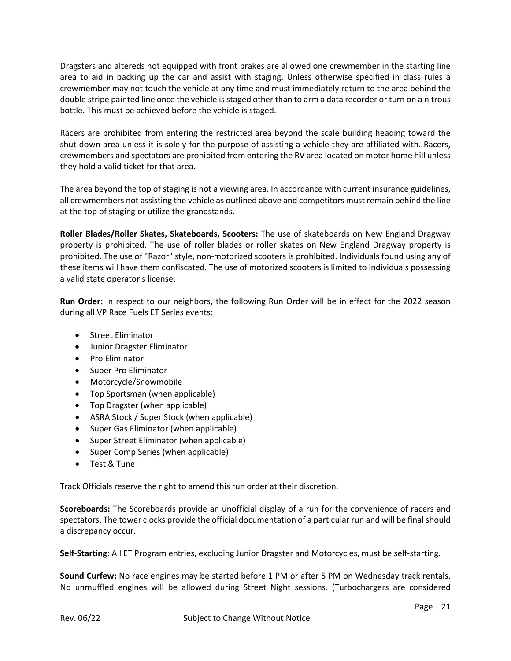Dragsters and altereds not equipped with front brakes are allowed one crewmember in the starting line area to aid in backing up the car and assist with staging. Unless otherwise specified in class rules a crewmember may not touch the vehicle at any time and must immediately return to the area behind the double stripe painted line once the vehicle is staged other than to arm a data recorder or turn on a nitrous bottle. This must be achieved before the vehicle is staged.

Racers are prohibited from entering the restricted area beyond the scale building heading toward the shut-down area unless it is solely for the purpose of assisting a vehicle they are affiliated with. Racers, crewmembers and spectators are prohibited from entering the RV area located on motor home hill unless they hold a valid ticket for that area.

The area beyond the top of staging is not a viewing area. In accordance with current insurance guidelines, all crewmembers not assisting the vehicle as outlined above and competitors must remain behind the line at the top of staging or utilize the grandstands.

**Roller Blades/Roller Skates, Skateboards, Scooters:** The use of skateboards on New England Dragway property is prohibited. The use of roller blades or roller skates on New England Dragway property is prohibited. The use of "Razor" style, non-motorized scooters is prohibited. Individuals found using any of these items will have them confiscated. The use of motorized scooters is limited to individuals possessing a valid state operator's license.

**Run Order:** In respect to our neighbors, the following Run Order will be in effect for the 2022 season during all VP Race Fuels ET Series events:

- Street Eliminator
- Junior Dragster Eliminator
- Pro Eliminator
- Super Pro Eliminator
- Motorcycle/Snowmobile
- Top Sportsman (when applicable)
- Top Dragster (when applicable)
- ASRA Stock / Super Stock (when applicable)
- Super Gas Eliminator (when applicable)
- Super Street Eliminator (when applicable)
- Super Comp Series (when applicable)
- Test & Tune

Track Officials reserve the right to amend this run order at their discretion.

**Scoreboards:** The Scoreboards provide an unofficial display of a run for the convenience of racers and spectators. The tower clocks provide the official documentation of a particular run and will be final should a discrepancy occur.

**Self-Starting:** All ET Program entries, excluding Junior Dragster and Motorcycles, must be self-starting.

**Sound Curfew:** No race engines may be started before 1 PM or after 5 PM on Wednesday track rentals. No unmuffled engines will be allowed during Street Night sessions. (Turbochargers are considered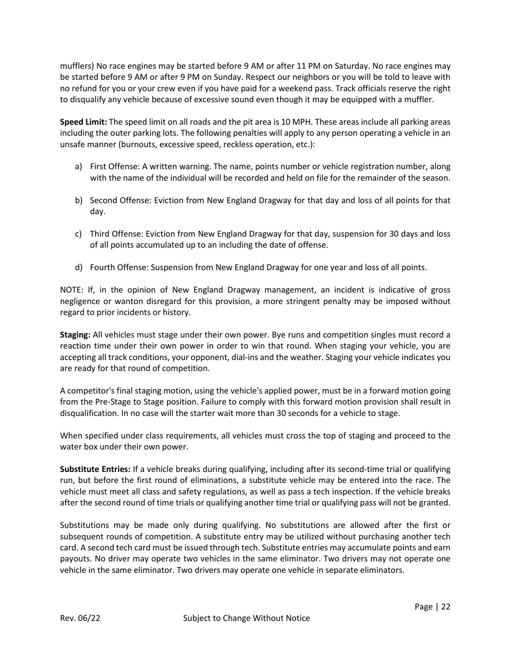mufflers) No race engines may be started before 9 AM or after 11 PM on Saturday. No race engines may be started before 9 AM or after 9 PM on Sunday. Respect our neighbors or you will be told to leave with no refund for you or your crew even if you have paid for a weekend pass. Track officials reserve the right to disqualify any vehicle because of excessive sound even though it may be equipped with a muffler.

**Speed Limit:** The speed limit on all roads and the pit area is 10 MPH. These areas include all parking areas including the outer parking lots. The following penalties will apply to any person operating a vehicle in an unsafe manner (burnouts, excessive speed, reckless operation, etc.):

- a) First Offense: A written warning. The name, points number or vehicle registration number, along with the name of the individual will be recorded and held on file for the remainder of the season.
- b) Second Offense: Eviction from New England Dragway for that day and loss of all points for that day.
- c) Third Offense: Eviction from New England Dragway for that day, suspension for 30 days and loss of all points accumulated up to an including the date of offense.
- d) Fourth Offense: Suspension from New England Dragway for one year and loss of all points.

NOTE: If, in the opinion of New England Dragway management, an incident is indicative of gross negligence or wanton disregard for this provision, a more stringent penalty may be imposed without regard to prior incidents or history.

**Staging:** All vehicles must stage under their own power. Bye runs and competition singles must record a reaction time under their own power in order to win that round. When staging your vehicle, you are accepting all track conditions, your opponent, dial-ins and the weather. Staging your vehicle indicates you are ready for that round of competition.

A competitor's final staging motion, using the vehicle's applied power, must be in a forward motion going from the Pre-Stage to Stage position. Failure to comply with this forward motion provision shall result in disqualification. In no case will the starter wait more than 30 seconds for a vehicle to stage.

When specified under class requirements, all vehicles must cross the top of staging and proceed to the water box under their own power.

**Substitute Entries:** If a vehicle breaks during qualifying, including after its second-time trial or qualifying run, but before the first round of eliminations, a substitute vehicle may be entered into the race. The vehicle must meet all class and safety regulations, as well as pass a tech inspection. If the vehicle breaks after the second round of time trials or qualifying another time trial or qualifying pass will not be granted.

Substitutions may be made only during qualifying. No substitutions are allowed after the first or subsequent rounds of competition. A substitute entry may be utilized without purchasing another tech card. A second tech card must be issued through tech. Substitute entries may accumulate points and earn payouts. No driver may operate two vehicles in the same eliminator. Two drivers may not operate one vehicle in the same eliminator. Two drivers may operate one vehicle in separate eliminators.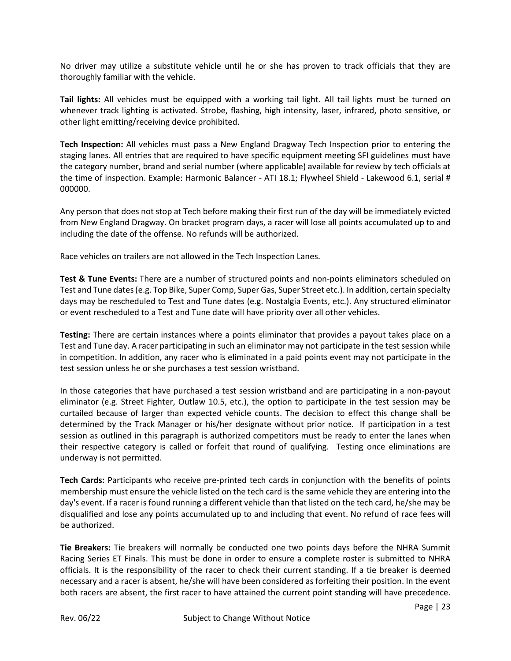No driver may utilize a substitute vehicle until he or she has proven to track officials that they are thoroughly familiar with the vehicle.

**Tail lights:** All vehicles must be equipped with a working tail light. All tail lights must be turned on whenever track lighting is activated. Strobe, flashing, high intensity, laser, infrared, photo sensitive, or other light emitting/receiving device prohibited.

**Tech Inspection:** All vehicles must pass a New England Dragway Tech Inspection prior to entering the staging lanes. All entries that are required to have specific equipment meeting SFI guidelines must have the category number, brand and serial number (where applicable) available for review by tech officials at the time of inspection. Example: Harmonic Balancer - ATI 18.1; Flywheel Shield - Lakewood 6.1, serial # 000000.

Any person that does not stop at Tech before making their first run of the day will be immediately evicted from New England Dragway. On bracket program days, a racer will lose all points accumulated up to and including the date of the offense. No refunds will be authorized.

Race vehicles on trailers are not allowed in the Tech Inspection Lanes.

**Test & Tune Events:** There are a number of structured points and non-points eliminators scheduled on Test and Tune dates (e.g. Top Bike, Super Comp, Super Gas, Super Street etc.). In addition, certain specialty days may be rescheduled to Test and Tune dates (e.g. Nostalgia Events, etc.). Any structured eliminator or event rescheduled to a Test and Tune date will have priority over all other vehicles.

**Testing:** There are certain instances where a points eliminator that provides a payout takes place on a Test and Tune day. A racer participating in such an eliminator may not participate in the test session while in competition. In addition, any racer who is eliminated in a paid points event may not participate in the test session unless he or she purchases a test session wristband.

In those categories that have purchased a test session wristband and are participating in a non-payout eliminator (e.g. Street Fighter, Outlaw 10.5, etc.), the option to participate in the test session may be curtailed because of larger than expected vehicle counts. The decision to effect this change shall be determined by the Track Manager or his/her designate without prior notice. If participation in a test session as outlined in this paragraph is authorized competitors must be ready to enter the lanes when their respective category is called or forfeit that round of qualifying. Testing once eliminations are underway is not permitted.

**Tech Cards:** Participants who receive pre-printed tech cards in conjunction with the benefits of points membership must ensure the vehicle listed on the tech card is the same vehicle they are entering into the day's event. If a racer is found running a different vehicle than that listed on the tech card, he/she may be disqualified and lose any points accumulated up to and including that event. No refund of race fees will be authorized.

**Tie Breakers:** Tie breakers will normally be conducted one two points days before the NHRA Summit Racing Series ET Finals. This must be done in order to ensure a complete roster is submitted to NHRA officials. It is the responsibility of the racer to check their current standing. If a tie breaker is deemed necessary and a racer is absent, he/she will have been considered as forfeiting their position. In the event both racers are absent, the first racer to have attained the current point standing will have precedence.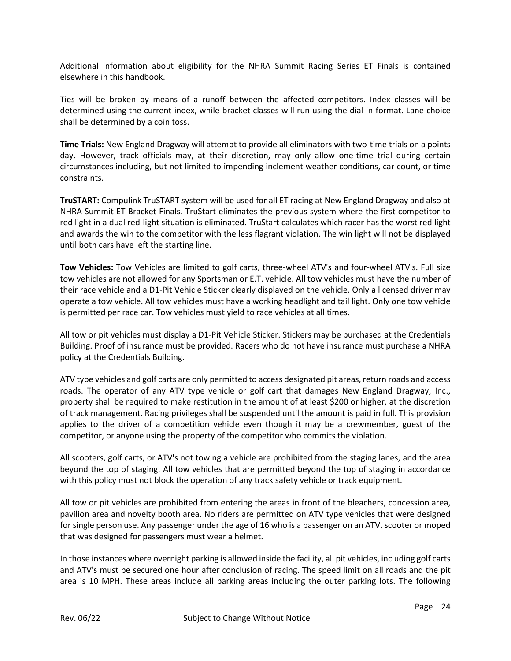Additional information about eligibility for the NHRA Summit Racing Series ET Finals is contained elsewhere in this handbook.

Ties will be broken by means of a runoff between the affected competitors. Index classes will be determined using the current index, while bracket classes will run using the dial-in format. Lane choice shall be determined by a coin toss.

**Time Trials:** New England Dragway will attempt to provide all eliminators with two-time trials on a points day. However, track officials may, at their discretion, may only allow one-time trial during certain circumstances including, but not limited to impending inclement weather conditions, car count, or time constraints.

**TruSTART:** Compulink TruSTART system will be used for all ET racing at New England Dragway and also at NHRA Summit ET Bracket Finals. TruStart eliminates the previous system where the first competitor to red light in a dual red-light situation is eliminated. TruStart calculates which racer has the worst red light and awards the win to the competitor with the less flagrant violation. The win light will not be displayed until both cars have left the starting line.

**Tow Vehicles:** Tow Vehicles are limited to golf carts, three-wheel ATV's and four-wheel ATV's. Full size tow vehicles are not allowed for any Sportsman or E.T. vehicle. All tow vehicles must have the number of their race vehicle and a D1-Pit Vehicle Sticker clearly displayed on the vehicle. Only a licensed driver may operate a tow vehicle. All tow vehicles must have a working headlight and tail light. Only one tow vehicle is permitted per race car. Tow vehicles must yield to race vehicles at all times.

All tow or pit vehicles must display a D1-Pit Vehicle Sticker. Stickers may be purchased at the Credentials Building. Proof of insurance must be provided. Racers who do not have insurance must purchase a NHRA policy at the Credentials Building.

ATV type vehicles and golf carts are only permitted to access designated pit areas, return roads and access roads. The operator of any ATV type vehicle or golf cart that damages New England Dragway, Inc., property shall be required to make restitution in the amount of at least \$200 or higher, at the discretion of track management. Racing privileges shall be suspended until the amount is paid in full. This provision applies to the driver of a competition vehicle even though it may be a crewmember, guest of the competitor, or anyone using the property of the competitor who commits the violation.

All scooters, golf carts, or ATV's not towing a vehicle are prohibited from the staging lanes, and the area beyond the top of staging. All tow vehicles that are permitted beyond the top of staging in accordance with this policy must not block the operation of any track safety vehicle or track equipment.

All tow or pit vehicles are prohibited from entering the areas in front of the bleachers, concession area, pavilion area and novelty booth area. No riders are permitted on ATV type vehicles that were designed for single person use. Any passenger under the age of 16 who is a passenger on an ATV, scooter or moped that was designed for passengers must wear a helmet.

In those instances where overnight parking is allowed inside the facility, all pit vehicles, including golf carts and ATV's must be secured one hour after conclusion of racing. The speed limit on all roads and the pit area is 10 MPH. These areas include all parking areas including the outer parking lots. The following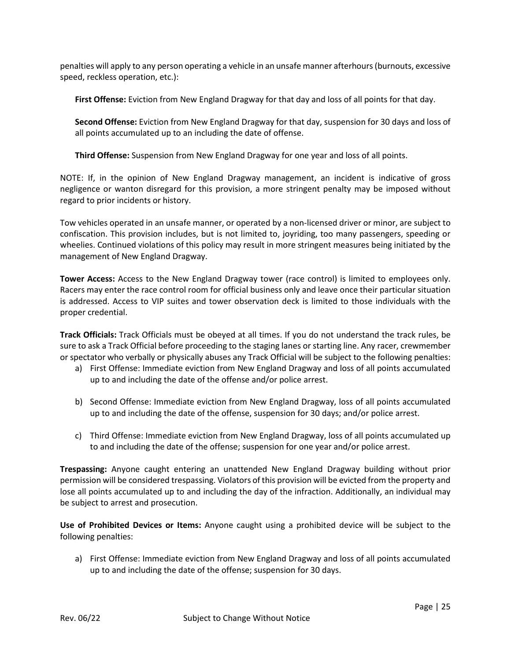penalties will apply to any person operating a vehicle in an unsafe manner afterhours(burnouts, excessive speed, reckless operation, etc.):

**First Offense:** Eviction from New England Dragway for that day and loss of all points for that day.

**Second Offense:** Eviction from New England Dragway for that day, suspension for 30 days and loss of all points accumulated up to an including the date of offense.

**Third Offense:** Suspension from New England Dragway for one year and loss of all points.

NOTE: If, in the opinion of New England Dragway management, an incident is indicative of gross negligence or wanton disregard for this provision, a more stringent penalty may be imposed without regard to prior incidents or history.

Tow vehicles operated in an unsafe manner, or operated by a non-licensed driver or minor, are subject to confiscation. This provision includes, but is not limited to, joyriding, too many passengers, speeding or wheelies. Continued violations of this policy may result in more stringent measures being initiated by the management of New England Dragway.

**Tower Access:** Access to the New England Dragway tower (race control) is limited to employees only. Racers may enter the race control room for official business only and leave once their particular situation is addressed. Access to VIP suites and tower observation deck is limited to those individuals with the proper credential.

**Track Officials:** Track Officials must be obeyed at all times. If you do not understand the track rules, be sure to ask a Track Official before proceeding to the staging lanes or starting line. Any racer, crewmember or spectator who verbally or physically abuses any Track Official will be subject to the following penalties:

- a) First Offense: Immediate eviction from New England Dragway and loss of all points accumulated up to and including the date of the offense and/or police arrest.
- b) Second Offense: Immediate eviction from New England Dragway, loss of all points accumulated up to and including the date of the offense, suspension for 30 days; and/or police arrest.
- c) Third Offense: Immediate eviction from New England Dragway, loss of all points accumulated up to and including the date of the offense; suspension for one year and/or police arrest.

**Trespassing:** Anyone caught entering an unattended New England Dragway building without prior permission will be considered trespassing. Violators of this provision will be evicted from the property and lose all points accumulated up to and including the day of the infraction. Additionally, an individual may be subject to arrest and prosecution.

**Use of Prohibited Devices or Items:** Anyone caught using a prohibited device will be subject to the following penalties:

a) First Offense: Immediate eviction from New England Dragway and loss of all points accumulated up to and including the date of the offense; suspension for 30 days.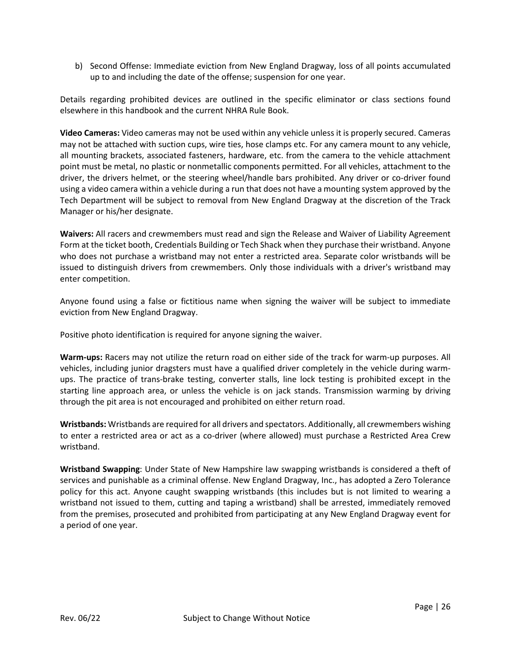b) Second Offense: Immediate eviction from New England Dragway, loss of all points accumulated up to and including the date of the offense; suspension for one year.

Details regarding prohibited devices are outlined in the specific eliminator or class sections found elsewhere in this handbook and the current NHRA Rule Book.

**Video Cameras:** Video cameras may not be used within any vehicle unless it is properly secured. Cameras may not be attached with suction cups, wire ties, hose clamps etc. For any camera mount to any vehicle, all mounting brackets, associated fasteners, hardware, etc. from the camera to the vehicle attachment point must be metal, no plastic or nonmetallic components permitted. For all vehicles, attachment to the driver, the drivers helmet, or the steering wheel/handle bars prohibited. Any driver or co-driver found using a video camera within a vehicle during a run that does not have a mounting system approved by the Tech Department will be subject to removal from New England Dragway at the discretion of the Track Manager or his/her designate.

**Waivers:** All racers and crewmembers must read and sign the Release and Waiver of Liability Agreement Form at the ticket booth, Credentials Building or Tech Shack when they purchase their wristband. Anyone who does not purchase a wristband may not enter a restricted area. Separate color wristbands will be issued to distinguish drivers from crewmembers. Only those individuals with a driver's wristband may enter competition.

Anyone found using a false or fictitious name when signing the waiver will be subject to immediate eviction from New England Dragway.

Positive photo identification is required for anyone signing the waiver.

**Warm-ups:** Racers may not utilize the return road on either side of the track for warm-up purposes. All vehicles, including junior dragsters must have a qualified driver completely in the vehicle during warmups. The practice of trans-brake testing, converter stalls, line lock testing is prohibited except in the starting line approach area, or unless the vehicle is on jack stands. Transmission warming by driving through the pit area is not encouraged and prohibited on either return road.

**Wristbands:** Wristbands are required for all drivers and spectators. Additionally, all crewmembers wishing to enter a restricted area or act as a co-driver (where allowed) must purchase a Restricted Area Crew wristband.

**Wristband Swapping**: Under State of New Hampshire law swapping wristbands is considered a theft of services and punishable as a criminal offense. New England Dragway, Inc., has adopted a Zero Tolerance policy for this act. Anyone caught swapping wristbands (this includes but is not limited to wearing a wristband not issued to them, cutting and taping a wristband) shall be arrested, immediately removed from the premises, prosecuted and prohibited from participating at any New England Dragway event for a period of one year.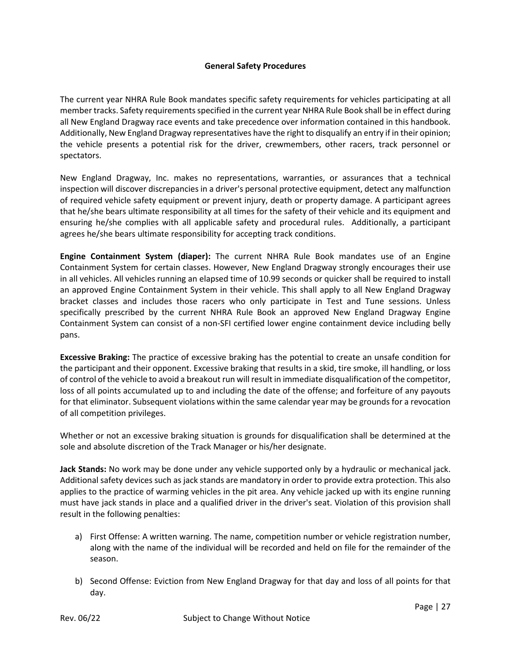# **General Safety Procedures**

The current year NHRA Rule Book mandates specific safety requirements for vehicles participating at all member tracks. Safety requirements specified in the current year NHRA Rule Book shall be in effect during all New England Dragway race events and take precedence over information contained in this handbook. Additionally, New England Dragway representatives have the right to disqualify an entry if in their opinion; the vehicle presents a potential risk for the driver, crewmembers, other racers, track personnel or spectators.

New England Dragway, Inc. makes no representations, warranties, or assurances that a technical inspection will discover discrepancies in a driver's personal protective equipment, detect any malfunction of required vehicle safety equipment or prevent injury, death or property damage. A participant agrees that he/she bears ultimate responsibility at all times for the safety of their vehicle and its equipment and ensuring he/she complies with all applicable safety and procedural rules. Additionally, a participant agrees he/she bears ultimate responsibility for accepting track conditions.

**Engine Containment System (diaper):** The current NHRA Rule Book mandates use of an Engine Containment System for certain classes. However, New England Dragway strongly encourages their use in all vehicles. All vehicles running an elapsed time of 10.99 seconds or quicker shall be required to install an approved Engine Containment System in their vehicle. This shall apply to all New England Dragway bracket classes and includes those racers who only participate in Test and Tune sessions. Unless specifically prescribed by the current NHRA Rule Book an approved New England Dragway Engine Containment System can consist of a non-SFI certified lower engine containment device including belly pans.

**Excessive Braking:** The practice of excessive braking has the potential to create an unsafe condition for the participant and their opponent. Excessive braking that results in a skid, tire smoke, ill handling, or loss of control of the vehicle to avoid a breakout run will result in immediate disqualification of the competitor, loss of all points accumulated up to and including the date of the offense; and forfeiture of any payouts for that eliminator. Subsequent violations within the same calendar year may be grounds for a revocation of all competition privileges.

Whether or not an excessive braking situation is grounds for disqualification shall be determined at the sole and absolute discretion of the Track Manager or his/her designate.

**Jack Stands:** No work may be done under any vehicle supported only by a hydraulic or mechanical jack. Additional safety devices such as jack stands are mandatory in order to provide extra protection. This also applies to the practice of warming vehicles in the pit area. Any vehicle jacked up with its engine running must have jack stands in place and a qualified driver in the driver's seat. Violation of this provision shall result in the following penalties:

- a) First Offense: A written warning. The name, competition number or vehicle registration number, along with the name of the individual will be recorded and held on file for the remainder of the season.
- b) Second Offense: Eviction from New England Dragway for that day and loss of all points for that day.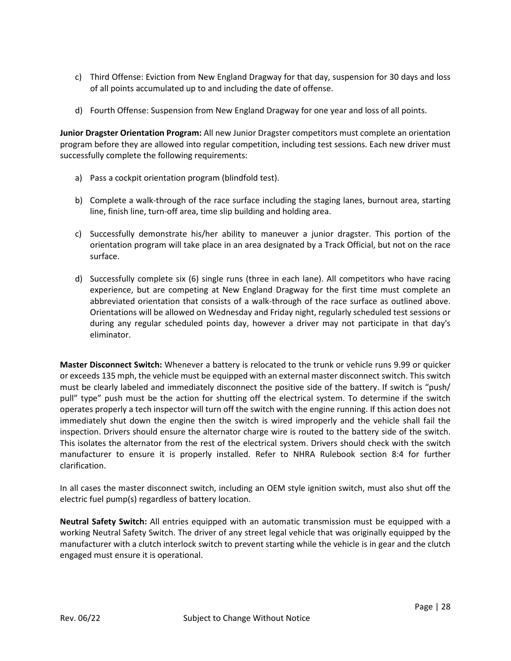- c) Third Offense: Eviction from New England Dragway for that day, suspension for 30 days and loss of all points accumulated up to and including the date of offense.
- d) Fourth Offense: Suspension from New England Dragway for one year and loss of all points.

**Junior Dragster Orientation Program:** All new Junior Dragster competitors must complete an orientation program before they are allowed into regular competition, including test sessions. Each new driver must successfully complete the following requirements:

- a) Pass a cockpit orientation program (blindfold test).
- b) Complete a walk-through of the race surface including the staging lanes, burnout area, starting line, finish line, turn-off area, time slip building and holding area.
- c) Successfully demonstrate his/her ability to maneuver a junior dragster. This portion of the orientation program will take place in an area designated by a Track Official, but not on the race surface.
- d) Successfully complete six (6) single runs (three in each lane). All competitors who have racing experience, but are competing at New England Dragway for the first time must complete an abbreviated orientation that consists of a walk-through of the race surface as outlined above. Orientations will be allowed on Wednesday and Friday night, regularly scheduled test sessions or during any regular scheduled points day, however a driver may not participate in that day's eliminator.

**Master Disconnect Switch:** Whenever a battery is relocated to the trunk or vehicle runs 9.99 or quicker or exceeds 135 mph, the vehicle must be equipped with an external master disconnect switch. This switch must be clearly labeled and immediately disconnect the positive side of the battery. If switch is "push/ pull" type" push must be the action for shutting off the electrical system. To determine if the switch operates properly a tech inspector will turn off the switch with the engine running. If this action does not immediately shut down the engine then the switch is wired improperly and the vehicle shall fail the inspection. Drivers should ensure the alternator charge wire is routed to the battery side of the switch. This isolates the alternator from the rest of the electrical system. Drivers should check with the switch manufacturer to ensure it is properly installed. Refer to NHRA Rulebook section 8:4 for further clarification.

In all cases the master disconnect switch, including an OEM style ignition switch, must also shut off the electric fuel pump(s) regardless of battery location.

**Neutral Safety Switch:** All entries equipped with an automatic transmission must be equipped with a working Neutral Safety Switch. The driver of any street legal vehicle that was originally equipped by the manufacturer with a clutch interlock switch to prevent starting while the vehicle is in gear and the clutch engaged must ensure it is operational.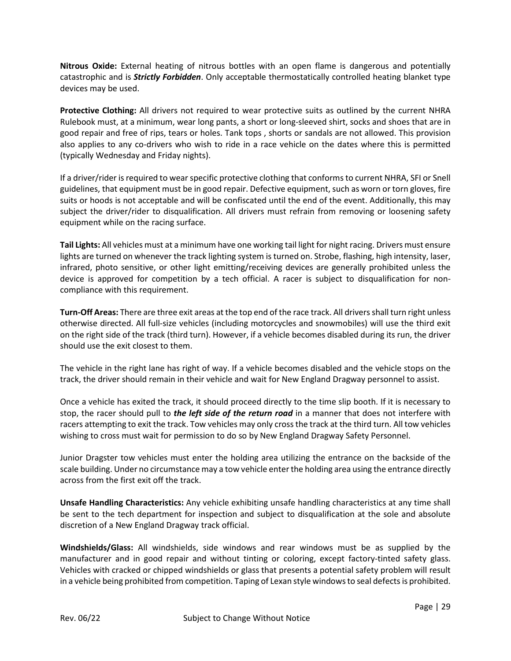**Nitrous Oxide:** External heating of nitrous bottles with an open flame is dangerous and potentially catastrophic and is *Strictly Forbidden*. Only acceptable thermostatically controlled heating blanket type devices may be used.

**Protective Clothing:** All drivers not required to wear protective suits as outlined by the current NHRA Rulebook must, at a minimum, wear long pants, a short or long-sleeved shirt, socks and shoes that are in good repair and free of rips, tears or holes. Tank tops , shorts or sandals are not allowed. This provision also applies to any co-drivers who wish to ride in a race vehicle on the dates where this is permitted (typically Wednesday and Friday nights).

If a driver/rider is required to wear specific protective clothing that conforms to current NHRA, SFI or Snell guidelines, that equipment must be in good repair. Defective equipment, such as worn or torn gloves, fire suits or hoods is not acceptable and will be confiscated until the end of the event. Additionally, this may subject the driver/rider to disqualification. All drivers must refrain from removing or loosening safety equipment while on the racing surface.

**Tail Lights:** All vehicles must at a minimum have one working tail light for night racing. Drivers must ensure lights are turned on whenever the track lighting system is turned on. Strobe, flashing, high intensity, laser, infrared, photo sensitive, or other light emitting/receiving devices are generally prohibited unless the device is approved for competition by a tech official. A racer is subject to disqualification for noncompliance with this requirement.

**Turn-Off Areas:** There are three exit areas at the top end of the race track. All drivers shall turn right unless otherwise directed. All full-size vehicles (including motorcycles and snowmobiles) will use the third exit on the right side of the track (third turn). However, if a vehicle becomes disabled during its run, the driver should use the exit closest to them.

The vehicle in the right lane has right of way. If a vehicle becomes disabled and the vehicle stops on the track, the driver should remain in their vehicle and wait for New England Dragway personnel to assist.

Once a vehicle has exited the track, it should proceed directly to the time slip booth. If it is necessary to stop, the racer should pull to *the left side of the return road* in a manner that does not interfere with racers attempting to exit the track. Tow vehicles may only cross the track at the third turn. All tow vehicles wishing to cross must wait for permission to do so by New England Dragway Safety Personnel.

Junior Dragster tow vehicles must enter the holding area utilizing the entrance on the backside of the scale building. Under no circumstance may a tow vehicle enter the holding area using the entrance directly across from the first exit off the track.

**Unsafe Handling Characteristics:** Any vehicle exhibiting unsafe handling characteristics at any time shall be sent to the tech department for inspection and subject to disqualification at the sole and absolute discretion of a New England Dragway track official.

**Windshields/Glass:** All windshields, side windows and rear windows must be as supplied by the manufacturer and in good repair and without tinting or coloring, except factory-tinted safety glass. Vehicles with cracked or chipped windshields or glass that presents a potential safety problem will result in a vehicle being prohibited from competition. Taping of Lexan style windows to seal defects is prohibited.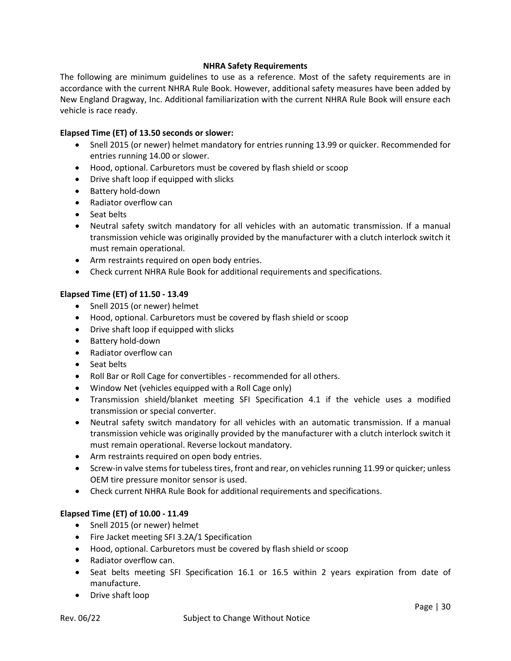# **NHRA Safety Requirements**

The following are minimum guidelines to use as a reference. Most of the safety requirements are in accordance with the current NHRA Rule Book. However, additional safety measures have been added by New England Dragway, Inc. Additional familiarization with the current NHRA Rule Book will ensure each vehicle is race ready.

# **Elapsed Time (ET) of 13.50 seconds or slower:**

- Snell 2015 (or newer) helmet mandatory for entries running 13.99 or quicker. Recommended for entries running 14.00 or slower.
- Hood, optional. Carburetors must be covered by flash shield or scoop
- Drive shaft loop if equipped with slicks
- Battery hold-down
- Radiator overflow can
- Seat belts
- Neutral safety switch mandatory for all vehicles with an automatic transmission. If a manual transmission vehicle was originally provided by the manufacturer with a clutch interlock switch it must remain operational.
- Arm restraints required on open body entries.
- Check current NHRA Rule Book for additional requirements and specifications.

# **Elapsed Time (ET) of 11.50 - 13.49**

- Snell 2015 (or newer) helmet
- Hood, optional. Carburetors must be covered by flash shield or scoop
- Drive shaft loop if equipped with slicks
- Battery hold-down
- Radiator overflow can
- Seat belts
- Roll Bar or Roll Cage for convertibles recommended for all others.
- Window Net (vehicles equipped with a Roll Cage only)
- Transmission shield/blanket meeting SFI Specification 4.1 if the vehicle uses a modified transmission or special converter.
- Neutral safety switch mandatory for all vehicles with an automatic transmission. If a manual transmission vehicle was originally provided by the manufacturer with a clutch interlock switch it must remain operational. Reverse lockout mandatory.
- Arm restraints required on open body entries.
- Screw-in valve stems for tubeless tires, front and rear, on vehicles running 11.99 or quicker; unless OEM tire pressure monitor sensor is used.
- Check current NHRA Rule Book for additional requirements and specifications.

# **Elapsed Time (ET) of 10.00 - 11.49**

- Snell 2015 (or newer) helmet
- Fire Jacket meeting SFI 3.2A/1 Specification
- Hood, optional. Carburetors must be covered by flash shield or scoop
- Radiator overflow can.
- Seat belts meeting SFI Specification 16.1 or 16.5 within 2 years expiration from date of manufacture.
- Drive shaft loop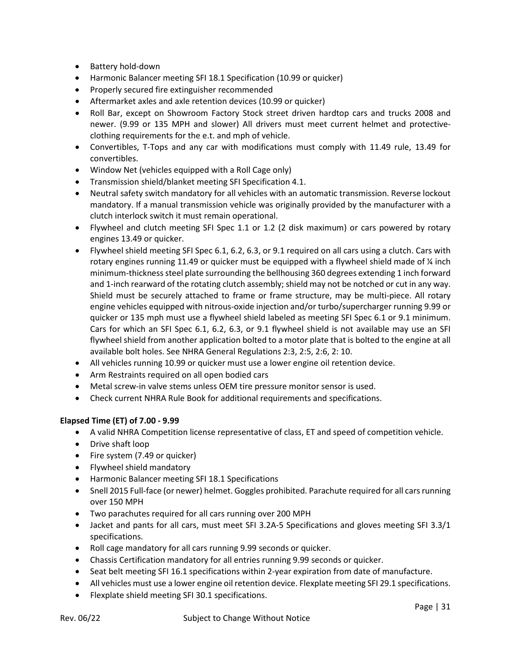- Battery hold-down
- Harmonic Balancer meeting SFI 18.1 Specification (10.99 or quicker)
- Properly secured fire extinguisher recommended
- Aftermarket axles and axle retention devices (10.99 or quicker)
- Roll Bar, except on Showroom Factory Stock street driven hardtop cars and trucks 2008 and newer. (9.99 or 135 MPH and slower) All drivers must meet current helmet and protectiveclothing requirements for the e.t. and mph of vehicle.
- Convertibles, T-Tops and any car with modifications must comply with 11.49 rule, 13.49 for convertibles.
- Window Net (vehicles equipped with a Roll Cage only)
- Transmission shield/blanket meeting SFI Specification 4.1.
- Neutral safety switch mandatory for all vehicles with an automatic transmission. Reverse lockout mandatory. If a manual transmission vehicle was originally provided by the manufacturer with a clutch interlock switch it must remain operational.
- Flywheel and clutch meeting SFI Spec 1.1 or 1.2 (2 disk maximum) or cars powered by rotary engines 13.49 or quicker.
- Flywheel shield meeting SFI Spec 6.1, 6.2, 6.3, or 9.1 required on all cars using a clutch. Cars with rotary engines running 11.49 or quicker must be equipped with a flywheel shield made of  $\frac{1}{4}$  inch minimum-thickness steel plate surrounding the bellhousing 360 degrees extending 1 inch forward and 1-inch rearward of the rotating clutch assembly; shield may not be notched or cut in any way. Shield must be securely attached to frame or frame structure, may be multi-piece. All rotary engine vehicles equipped with nitrous-oxide injection and/or turbo/supercharger running 9.99 or quicker or 135 mph must use a flywheel shield labeled as meeting SFI Spec 6.1 or 9.1 minimum. Cars for which an SFI Spec 6.1, 6.2, 6.3, or 9.1 flywheel shield is not available may use an SFI flywheel shield from another application bolted to a motor plate that is bolted to the engine at all available bolt holes. See NHRA General Regulations 2:3, 2:5, 2:6, 2: 10.
- All vehicles running 10.99 or quicker must use a lower engine oil retention device.
- Arm Restraints required on all open bodied cars
- Metal screw-in valve stems unless OEM tire pressure monitor sensor is used.
- Check current NHRA Rule Book for additional requirements and specifications.

# **Elapsed Time (ET) of 7.00 - 9.99**

- A valid NHRA Competition license representative of class, ET and speed of competition vehicle.
- Drive shaft loop
- Fire system (7.49 or quicker)
- Flywheel shield mandatory
- Harmonic Balancer meeting SFI 18.1 Specifications
- Snell 2015 Full-face (or newer) helmet. Goggles prohibited. Parachute required for all cars running over 150 MPH
- Two parachutes required for all cars running over 200 MPH
- Jacket and pants for all cars, must meet SFI 3.2A-5 Specifications and gloves meeting SFI 3.3/1 specifications.
- Roll cage mandatory for all cars running 9.99 seconds or quicker.
- Chassis Certification mandatory for all entries running 9.99 seconds or quicker.
- Seat belt meeting SFI 16.1 specifications within 2-year expiration from date of manufacture.
- All vehicles must use a lower engine oil retention device. Flexplate meeting SFI 29.1 specifications.
- Flexplate shield meeting SFI 30.1 specifications.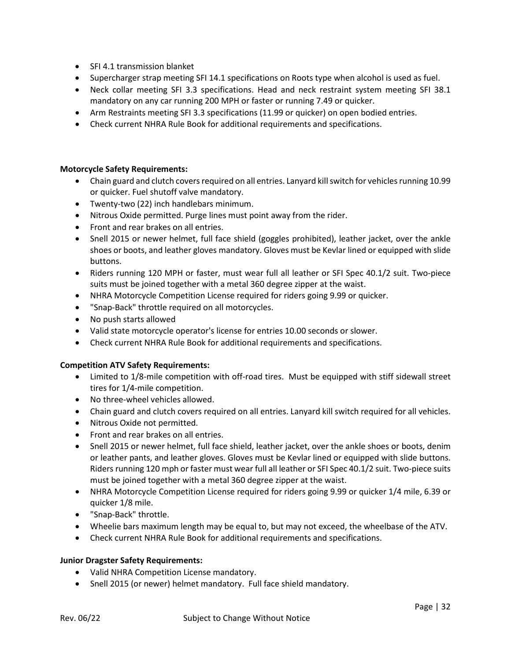- SFI 4.1 transmission blanket
- Supercharger strap meeting SFI 14.1 specifications on Roots type when alcohol is used as fuel.
- Neck collar meeting SFI 3.3 specifications. Head and neck restraint system meeting SFI 38.1 mandatory on any car running 200 MPH or faster or running 7.49 or quicker.
- Arm Restraints meeting SFI 3.3 specifications (11.99 or quicker) on open bodied entries.
- Check current NHRA Rule Book for additional requirements and specifications.

# **Motorcycle Safety Requirements:**

- Chain guard and clutch covers required on all entries. Lanyard kill switch for vehicles running 10.99 or quicker. Fuel shutoff valve mandatory.
- Twenty-two (22) inch handlebars minimum.
- Nitrous Oxide permitted. Purge lines must point away from the rider.
- Front and rear brakes on all entries.
- Snell 2015 or newer helmet, full face shield (goggles prohibited), leather jacket, over the ankle shoes or boots, and leather gloves mandatory. Gloves must be Kevlar lined or equipped with slide buttons.
- Riders running 120 MPH or faster, must wear full all leather or SFI Spec 40.1/2 suit. Two-piece suits must be joined together with a metal 360 degree zipper at the waist.
- NHRA Motorcycle Competition License required for riders going 9.99 or quicker.
- "Snap-Back" throttle required on all motorcycles.
- No push starts allowed
- Valid state motorcycle operator's license for entries 10.00 seconds or slower.
- Check current NHRA Rule Book for additional requirements and specifications.

# **Competition ATV Safety Requirements:**

- Limited to 1/8-mile competition with off-road tires. Must be equipped with stiff sidewall street tires for 1/4-mile competition.
- No three-wheel vehicles allowed.
- Chain guard and clutch covers required on all entries. Lanyard kill switch required for all vehicles.
- Nitrous Oxide not permitted.
- Front and rear brakes on all entries.
- Snell 2015 or newer helmet, full face shield, leather jacket, over the ankle shoes or boots, denim or leather pants, and leather gloves. Gloves must be Kevlar lined or equipped with slide buttons. Riders running 120 mph or faster must wear full all leather or SFI Spec 40.1/2 suit. Two-piece suits must be joined together with a metal 360 degree zipper at the waist.
- NHRA Motorcycle Competition License required for riders going 9.99 or quicker 1/4 mile, 6.39 or quicker 1/8 mile.
- "Snap-Back" throttle.
- Wheelie bars maximum length may be equal to, but may not exceed, the wheelbase of the ATV.
- Check current NHRA Rule Book for additional requirements and specifications.

# **Junior Dragster Safety Requirements:**

- Valid NHRA Competition License mandatory.
- Snell 2015 (or newer) helmet mandatory. Full face shield mandatory.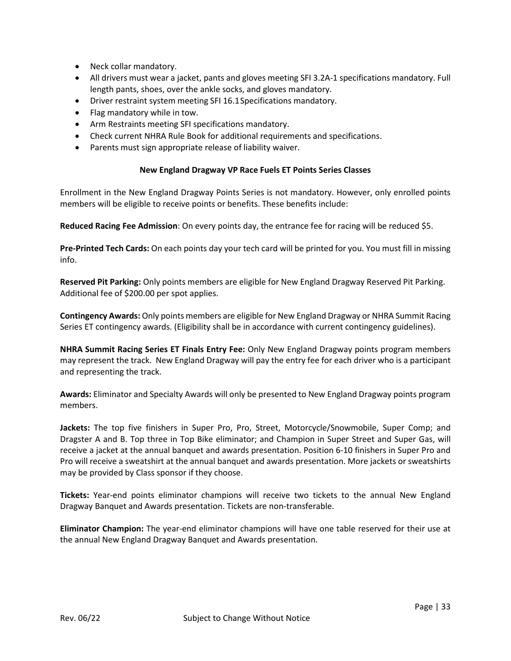- Neck collar mandatory.
- All drivers must wear a jacket, pants and gloves meeting SFI 3.2A-1 specifications mandatory. Full length pants, shoes, over the ankle socks, and gloves mandatory.
- Driver restraint system meeting SFI 16.1Specifications mandatory.
- Flag mandatory while in tow.
- Arm Restraints meeting SFI specifications mandatory.
- Check current NHRA Rule Book for additional requirements and specifications.
- Parents must sign appropriate release of liability waiver.

# **New England Dragway VP Race Fuels ET Points Series Classes**

Enrollment in the New England Dragway Points Series is not mandatory. However, only enrolled points members will be eligible to receive points or benefits. These benefits include:

**Reduced Racing Fee Admission**: On every points day, the entrance fee for racing will be reduced \$5.

**Pre-Printed Tech Cards:** On each points day your tech card will be printed for you. You must fill in missing info.

**Reserved Pit Parking:** Only points members are eligible for New England Dragway Reserved Pit Parking. Additional fee of \$200.00 per spot applies.

**Contingency Awards:** Only points members are eligible for New England Dragway or NHRA Summit Racing Series ET contingency awards. (Eligibility shall be in accordance with current contingency guidelines).

**NHRA Summit Racing Series ET Finals Entry Fee:** Only New England Dragway points program members may represent the track. New England Dragway will pay the entry fee for each driver who is a participant and representing the track.

**Awards:** Eliminator and Specialty Awards will only be presented to New England Dragway points program members.

**Jackets:** The top five finishers in Super Pro, Pro, Street, Motorcycle/Snowmobile, Super Comp; and Dragster A and B. Top three in Top Bike eliminator; and Champion in Super Street and Super Gas, will receive a jacket at the annual banquet and awards presentation. Position 6-10 finishers in Super Pro and Pro will receive a sweatshirt at the annual banquet and awards presentation. More jackets or sweatshirts may be provided by Class sponsor if they choose.

**Tickets:** Year-end points eliminator champions will receive two tickets to the annual New England Dragway Banquet and Awards presentation. Tickets are non-transferable.

**Eliminator Champion:** The year-end eliminator champions will have one table reserved for their use at the annual New England Dragway Banquet and Awards presentation.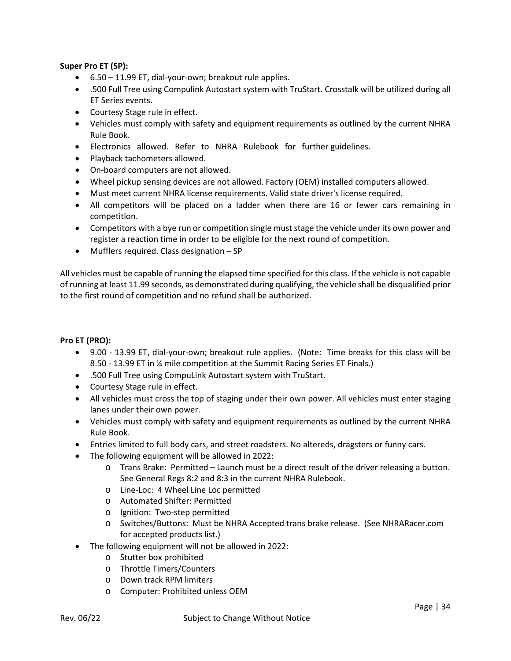# **Super Pro ET (SP):**

- 6.50 11.99 ET, dial-your-own; breakout rule applies.
- .500 Full Tree using Compulink Autostart system with TruStart. Crosstalk will be utilized during all ET Series events.
- Courtesy Stage rule in effect.
- Vehicles must comply with safety and equipment requirements as outlined by the current NHRA Rule Book.
- Electronics allowed. Refer to NHRA Rulebook for further guidelines.
- Playback tachometers allowed.
- On-board computers are not allowed.
- Wheel pickup sensing devices are not allowed. Factory (OEM) installed computers allowed.
- Must meet current NHRA license requirements. Valid state driver's license required.
- All competitors will be placed on a ladder when there are 16 or fewer cars remaining in competition.
- Competitors with a bye run or competition single must stage the vehicle under its own power and register a reaction time in order to be eligible for the next round of competition.
- Mufflers required. Class designation SP

All vehicles must be capable of running the elapsed time specified for this class. If the vehicle is not capable of running at least 11.99 seconds, as demonstrated during qualifying, the vehicle shall be disqualified prior to the first round of competition and no refund shall be authorized.

# **Pro ET (PRO):**

- 9.00 13.99 ET, dial-your-own; breakout rule applies. (Note: Time breaks for this class will be 8.50 - 13.99 ET in ¼ mile competition at the Summit Racing Series ET Finals.)
- .500 Full Tree using CompuLink Autostart system with TruStart.
- Courtesy Stage rule in effect.
- All vehicles must cross the top of staging under their own power. All vehicles must enter staging lanes under their own power.
- Vehicles must comply with safety and equipment requirements as outlined by the current NHRA Rule Book.
- Entries limited to full body cars, and street roadsters. No altereds, dragsters or funny cars.
- The following equipment will be allowed in 2022:
	- o Trans Brake: Permitted Launch must be a direct result of the driver releasing a button. See General Regs 8:2 and 8:3 in the current NHRA Rulebook.
	- o Line-Loc: 4 Wheel Line Loc permitted
	- o Automated Shifter: Permitted
	- o Ignition: Two-step permitted
	- o Switches/Buttons: Must be NHRA Accepted trans brake release. (See NHRARacer.com for accepted products list.)
- The following equipment will not be allowed in 2022:
	- o Stutter box prohibited
	- o Throttle Timers/Counters
	- o Down track RPM limiters
	- o Computer: Prohibited unless OEM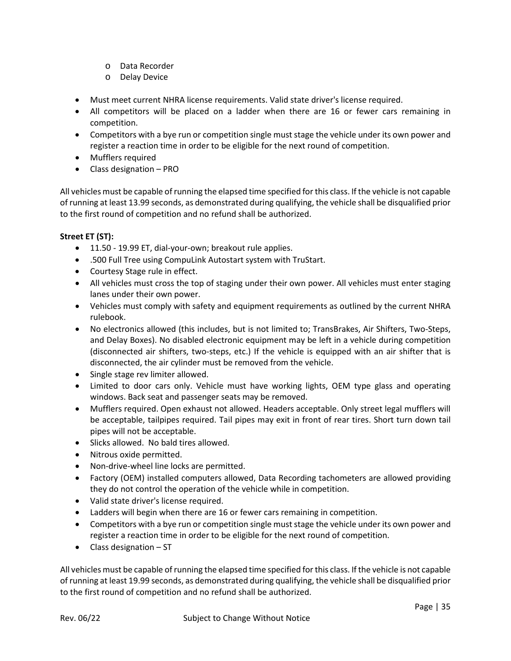- o Data Recorder
- o Delay Device
- Must meet current NHRA license requirements. Valid state driver's license required.
- All competitors will be placed on a ladder when there are 16 or fewer cars remaining in competition.
- Competitors with a bye run or competition single must stage the vehicle under its own power and register a reaction time in order to be eligible for the next round of competition.
- Mufflers required
- Class designation PRO

All vehicles must be capable of running the elapsed time specified for this class. If the vehicle is not capable of running at least 13.99 seconds, as demonstrated during qualifying, the vehicle shall be disqualified prior to the first round of competition and no refund shall be authorized.

# **Street ET (ST):**

- 11.50 19.99 ET, dial-your-own; breakout rule applies.
- .500 Full Tree using CompuLink Autostart system with TruStart.
- Courtesy Stage rule in effect.
- All vehicles must cross the top of staging under their own power. All vehicles must enter staging lanes under their own power.
- Vehicles must comply with safety and equipment requirements as outlined by the current NHRA rulebook.
- No electronics allowed (this includes, but is not limited to; TransBrakes, Air Shifters, Two-Steps, and Delay Boxes). No disabled electronic equipment may be left in a vehicle during competition (disconnected air shifters, two-steps, etc.) If the vehicle is equipped with an air shifter that is disconnected, the air cylinder must be removed from the vehicle.
- Single stage rev limiter allowed.
- Limited to door cars only. Vehicle must have working lights, OEM type glass and operating windows. Back seat and passenger seats may be removed.
- Mufflers required. Open exhaust not allowed. Headers acceptable. Only street legal mufflers will be acceptable, tailpipes required. Tail pipes may exit in front of rear tires. Short turn down tail pipes will not be acceptable.
- Slicks allowed. No bald tires allowed.
- Nitrous oxide permitted.
- Non-drive-wheel line locks are permitted.
- Factory (OEM) installed computers allowed, Data Recording tachometers are allowed providing they do not control the operation of the vehicle while in competition.
- Valid state driver's license required.
- Ladders will begin when there are 16 or fewer cars remaining in competition.
- Competitors with a bye run or competition single must stage the vehicle under its own power and register a reaction time in order to be eligible for the next round of competition.
- $\bullet$  Class designation ST

All vehicles must be capable of running the elapsed time specified for this class. If the vehicle is not capable of running at least 19.99 seconds, as demonstrated during qualifying, the vehicle shall be disqualified prior to the first round of competition and no refund shall be authorized.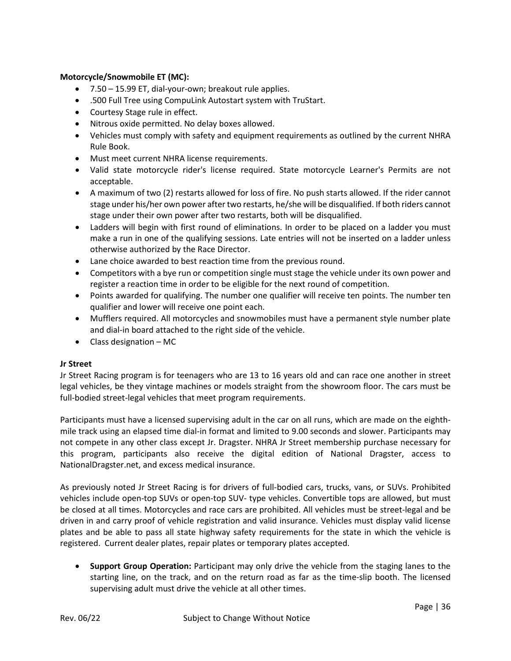# **Motorcycle/Snowmobile ET (MC):**

- 7.50 15.99 ET, dial-your-own; breakout rule applies.
- .500 Full Tree using CompuLink Autostart system with TruStart.
- Courtesy Stage rule in effect.
- Nitrous oxide permitted. No delay boxes allowed.
- Vehicles must comply with safety and equipment requirements as outlined by the current NHRA Rule Book.
- Must meet current NHRA license requirements.
- Valid state motorcycle rider's license required. State motorcycle Learner's Permits are not acceptable.
- A maximum of two (2) restarts allowed for loss of fire. No push starts allowed. If the rider cannot stage under his/her own power after two restarts, he/she will be disqualified. If both riders cannot stage under their own power after two restarts, both will be disqualified.
- Ladders will begin with first round of eliminations. In order to be placed on a ladder you must make a run in one of the qualifying sessions. Late entries will not be inserted on a ladder unless otherwise authorized by the Race Director.
- Lane choice awarded to best reaction time from the previous round.
- Competitors with a bye run or competition single must stage the vehicle under its own power and register a reaction time in order to be eligible for the next round of competition.
- Points awarded for qualifying. The number one qualifier will receive ten points. The number ten qualifier and lower will receive one point each.
- Mufflers required. All motorcycles and snowmobiles must have a permanent style number plate and dial-in board attached to the right side of the vehicle.
- Class designation MC

# **Jr Street**

Jr Street Racing program is for teenagers who are 13 to 16 years old and can race one another in street legal vehicles, be they vintage machines or models straight from the showroom floor. The cars must be full-bodied street-legal vehicles that meet program requirements.

Participants must have a licensed supervising adult in the car on all runs, which are made on the eighthmile track using an elapsed time dial-in format and limited to 9.00 seconds and slower. Participants may not compete in any other class except Jr. Dragster. NHRA Jr Street membership purchase necessary for this program, participants also receive the digital edition of National Dragster, access to NationalDragster.net, and excess medical insurance.

As previously noted Jr Street Racing is for drivers of full-bodied cars, trucks, vans, or SUVs. Prohibited vehicles include open-top SUVs or open-top SUV- type vehicles. Convertible tops are allowed, but must be closed at all times. Motorcycles and race cars are prohibited. All vehicles must be street-legal and be driven in and carry proof of vehicle registration and valid insurance. Vehicles must display valid license plates and be able to pass all state highway safety requirements for the state in which the vehicle is registered. Current dealer plates, repair plates or temporary plates accepted.

• **Support Group Operation:** Participant may only drive the vehicle from the staging lanes to the starting line, on the track, and on the return road as far as the time-slip booth. The licensed supervising adult must drive the vehicle at all other times.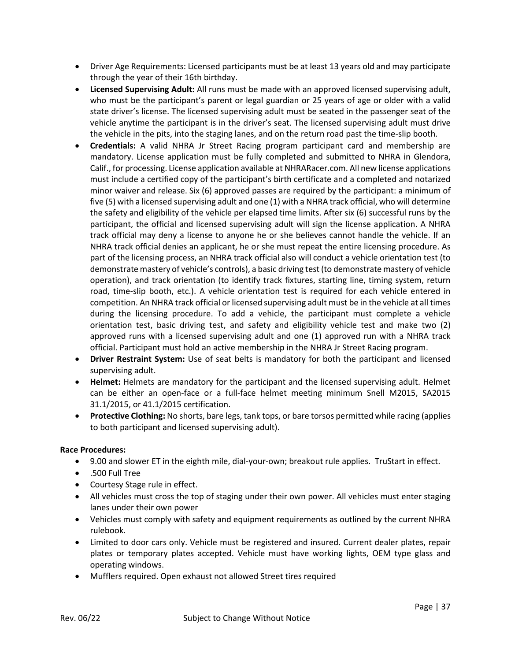- Driver Age Requirements: Licensed participants must be at least 13 years old and may participate through the year of their 16th birthday.
- **Licensed Supervising Adult:** All runs must be made with an approved licensed supervising adult, who must be the participant's parent or legal guardian or 25 years of age or older with a valid state driver's license. The licensed supervising adult must be seated in the passenger seat of the vehicle anytime the participant is in the driver's seat. The licensed supervising adult must drive the vehicle in the pits, into the staging lanes, and on the return road past the time-slip booth.
- **Credentials:** A valid NHRA Jr Street Racing program participant card and membership are mandatory. License application must be fully completed and submitted to NHRA in Glendora, Calif., for processing. License application available at NHRARacer.com. All new license applications must include a certified copy of the participant's birth certificate and a completed and notarized minor waiver and release. Six (6) approved passes are required by the participant: a minimum of five (5) with a licensed supervising adult and one (1) with a NHRA track official, who will determine the safety and eligibility of the vehicle per elapsed time limits. After six (6) successful runs by the participant, the official and licensed supervising adult will sign the license application. A NHRA track official may deny a license to anyone he or she believes cannot handle the vehicle. If an NHRA track official denies an applicant, he or she must repeat the entire licensing procedure. As part of the licensing process, an NHRA track official also will conduct a vehicle orientation test (to demonstrate mastery of vehicle's controls), a basic driving test (to demonstrate mastery of vehicle operation), and track orientation (to identify track fixtures, starting line, timing system, return road, time-slip booth, etc.). A vehicle orientation test is required for each vehicle entered in competition. An NHRA track official or licensed supervising adult must be in the vehicle at all times during the licensing procedure. To add a vehicle, the participant must complete a vehicle orientation test, basic driving test, and safety and eligibility vehicle test and make two (2) approved runs with a licensed supervising adult and one (1) approved run with a NHRA track official. Participant must hold an active membership in the NHRA Jr Street Racing program.
- **Driver Restraint System:** Use of seat belts is mandatory for both the participant and licensed supervising adult.
- **Helmet:** Helmets are mandatory for the participant and the licensed supervising adult. Helmet can be either an open-face or a full-face helmet meeting minimum Snell M2015, SA2015 31.1/2015, or 41.1/2015 certification.
- **Protective Clothing:** No shorts, bare legs, tank tops, or bare torsos permitted while racing (applies to both participant and licensed supervising adult).

# **Race Procedures:**

- 9.00 and slower ET in the eighth mile, dial-your-own; breakout rule applies. TruStart in effect.
- .500 Full Tree
- Courtesy Stage rule in effect.
- All vehicles must cross the top of staging under their own power. All vehicles must enter staging lanes under their own power
- Vehicles must comply with safety and equipment requirements as outlined by the current NHRA rulebook.
- Limited to door cars only. Vehicle must be registered and insured. Current dealer plates, repair plates or temporary plates accepted. Vehicle must have working lights, OEM type glass and operating windows.
- Mufflers required. Open exhaust not allowed Street tires required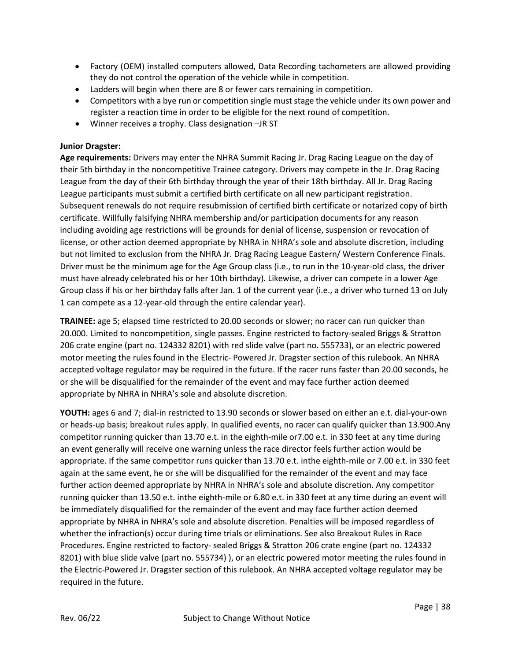- Factory (OEM) installed computers allowed, Data Recording tachometers are allowed providing they do not control the operation of the vehicle while in competition.
- Ladders will begin when there are 8 or fewer cars remaining in competition.
- Competitors with a bye run or competition single must stage the vehicle under its own power and register a reaction time in order to be eligible for the next round of competition.
- Winner receives a trophy. Class designation –JR ST

# **Junior Dragster:**

**Age requirements:** Drivers may enter the NHRA Summit Racing Jr. Drag Racing League on the day of their 5th birthday in the noncompetitive Trainee category. Drivers may compete in the Jr. Drag Racing League from the day of their 6th birthday through the year of their 18th birthday. All Jr. Drag Racing League participants must submit a certified birth certificate on all new participant registration. Subsequent renewals do not require resubmission of certified birth certificate or notarized copy of birth certificate. Willfully falsifying NHRA membership and/or participation documents for any reason including avoiding age restrictions will be grounds for denial of license, suspension or revocation of license, or other action deemed appropriate by NHRA in NHRA's sole and absolute discretion, including but not limited to exclusion from the NHRA Jr. Drag Racing League Eastern/ Western Conference Finals. Driver must be the minimum age for the Age Group class (i.e., to run in the 10-year-old class, the driver must have already celebrated his or her 10th birthday). Likewise, a driver can compete in a lower Age Group class if his or her birthday falls after Jan. 1 of the current year (i.e., a driver who turned 13 on July 1 can compete as a 12-year-old through the entire calendar year).

**TRAINEE:** age 5; elapsed time restricted to 20.00 seconds or slower; no racer can run quicker than 20.000. Limited to noncompetition, single passes. Engine restricted to factory-sealed Briggs & Stratton 206 crate engine (part no. 124332 8201) with red slide valve (part no. 555733), or an electric powered motor meeting the rules found in the Electric- Powered Jr. Dragster section of this rulebook. An NHRA accepted voltage regulator may be required in the future. If the racer runs faster than 20.00 seconds, he or she will be disqualified for the remainder of the event and may face further action deemed appropriate by NHRA in NHRA's sole and absolute discretion.

**YOUTH:** ages 6 and 7; dial-in restricted to 13.90 seconds or slower based on either an e.t. dial-your-own or heads-up basis; breakout rules apply. In qualified events, no racer can qualify quicker than 13.900.Any competitor running quicker than 13.70 e.t. in the eighth-mile or7.00 e.t. in 330 feet at any time during an event generally will receive one warning unless the race director feels further action would be appropriate. If the same competitor runs quicker than 13.70 e.t. inthe eighth-mile or 7.00 e.t. in 330 feet again at the same event, he or she will be disqualified for the remainder of the event and may face further action deemed appropriate by NHRA in NHRA's sole and absolute discretion. Any competitor running quicker than 13.50 e.t. inthe eighth-mile or 6.80 e.t. in 330 feet at any time during an event will be immediately disqualified for the remainder of the event and may face further action deemed appropriate by NHRA in NHRA's sole and absolute discretion. Penalties will be imposed regardless of whether the infraction(s) occur during time trials or eliminations. See also Breakout Rules in Race Procedures. Engine restricted to factory- sealed Briggs & Stratton 206 crate engine (part no. 124332 8201) with blue slide valve (part no. 555734) ), or an electric powered motor meeting the rules found in the Electric-Powered Jr. Dragster section of this rulebook. An NHRA accepted voltage regulator may be required in the future.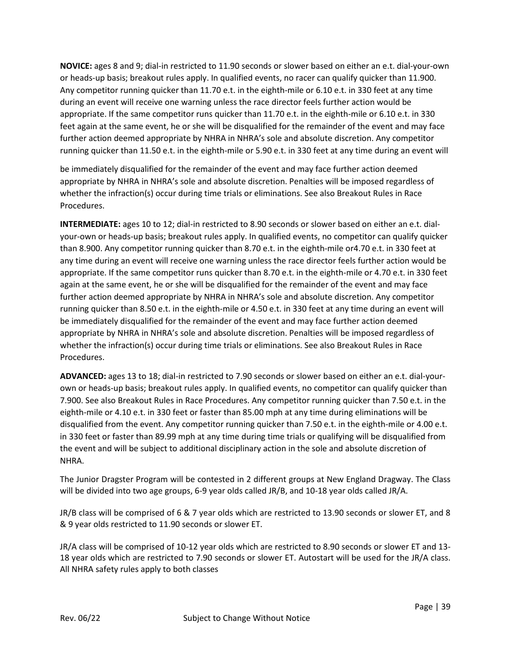**NOVICE:** ages 8 and 9; dial-in restricted to 11.90 seconds or slower based on either an e.t. dial-your-own or heads-up basis; breakout rules apply. In qualified events, no racer can qualify quicker than 11.900. Any competitor running quicker than 11.70 e.t. in the eighth-mile or 6.10 e.t. in 330 feet at any time during an event will receive one warning unless the race director feels further action would be appropriate. If the same competitor runs quicker than 11.70 e.t. in the eighth-mile or 6.10 e.t. in 330 feet again at the same event, he or she will be disqualified for the remainder of the event and may face further action deemed appropriate by NHRA in NHRA's sole and absolute discretion. Any competitor running quicker than 11.50 e.t. in the eighth-mile or 5.90 e.t. in 330 feet at any time during an event will

be immediately disqualified for the remainder of the event and may face further action deemed appropriate by NHRA in NHRA's sole and absolute discretion. Penalties will be imposed regardless of whether the infraction(s) occur during time trials or eliminations. See also Breakout Rules in Race Procedures.

**INTERMEDIATE:** ages 10 to 12; dial-in restricted to 8.90 seconds or slower based on either an e.t. dialyour-own or heads-up basis; breakout rules apply. In qualified events, no competitor can qualify quicker than 8.900. Any competitor running quicker than 8.70 e.t. in the eighth-mile or4.70 e.t. in 330 feet at any time during an event will receive one warning unless the race director feels further action would be appropriate. If the same competitor runs quicker than 8.70 e.t. in the eighth-mile or 4.70 e.t. in 330 feet again at the same event, he or she will be disqualified for the remainder of the event and may face further action deemed appropriate by NHRA in NHRA's sole and absolute discretion. Any competitor running quicker than 8.50 e.t. in the eighth-mile or 4.50 e.t. in 330 feet at any time during an event will be immediately disqualified for the remainder of the event and may face further action deemed appropriate by NHRA in NHRA's sole and absolute discretion. Penalties will be imposed regardless of whether the infraction(s) occur during time trials or eliminations. See also Breakout Rules in Race Procedures.

**ADVANCED:** ages 13 to 18; dial-in restricted to 7.90 seconds or slower based on either an e.t. dial-yourown or heads-up basis; breakout rules apply. In qualified events, no competitor can qualify quicker than 7.900. See also Breakout Rules in Race Procedures. Any competitor running quicker than 7.50 e.t. in the eighth-mile or 4.10 e.t. in 330 feet or faster than 85.00 mph at any time during eliminations will be disqualified from the event. Any competitor running quicker than 7.50 e.t. in the eighth-mile or 4.00 e.t. in 330 feet or faster than 89.99 mph at any time during time trials or qualifying will be disqualified from the event and will be subject to additional disciplinary action in the sole and absolute discretion of NHRA.

The Junior Dragster Program will be contested in 2 different groups at New England Dragway. The Class will be divided into two age groups, 6-9 year olds called JR/B, and 10-18 year olds called JR/A.

JR/B class will be comprised of 6 & 7 year olds which are restricted to 13.90 seconds or slower ET, and 8 & 9 year olds restricted to 11.90 seconds or slower ET.

JR/A class will be comprised of 10-12 year olds which are restricted to 8.90 seconds or slower ET and 13- 18 year olds which are restricted to 7.90 seconds or slower ET. Autostart will be used for the JR/A class. All NHRA safety rules apply to both classes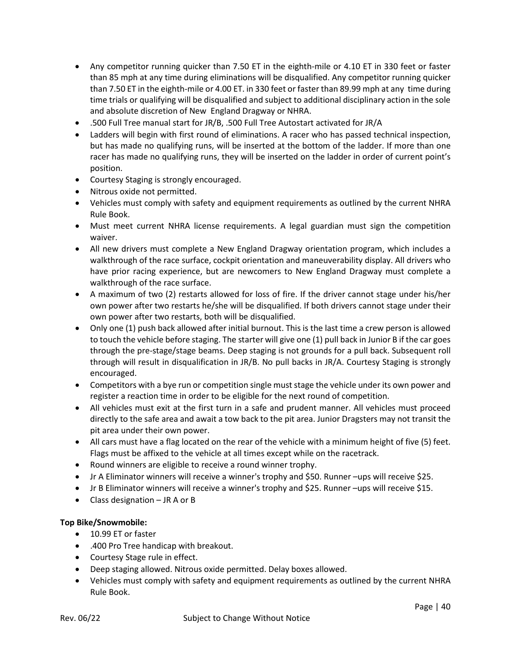- Any competitor running quicker than 7.50 ET in the eighth-mile or 4.10 ET in 330 feet or faster than 85 mph at any time during eliminations will be disqualified. Any competitor running quicker than 7.50 ET in the eighth-mile or 4.00 ET. in 330 feet or faster than 89.99 mph at any time during time trials or qualifying will be disqualified and subject to additional disciplinary action in the sole and absolute discretion of New England Dragway or NHRA.
- .500 Full Tree manual start for JR/B, .500 Full Tree Autostart activated for JR/A
- Ladders will begin with first round of eliminations. A racer who has passed technical inspection, but has made no qualifying runs, will be inserted at the bottom of the ladder. If more than one racer has made no qualifying runs, they will be inserted on the ladder in order of current point's position.
- Courtesy Staging is strongly encouraged.
- Nitrous oxide not permitted.
- Vehicles must comply with safety and equipment requirements as outlined by the current NHRA Rule Book.
- Must meet current NHRA license requirements. A legal guardian must sign the competition waiver.
- All new drivers must complete a New England Dragway orientation program, which includes a walkthrough of the race surface, cockpit orientation and maneuverability display. All drivers who have prior racing experience, but are newcomers to New England Dragway must complete a walkthrough of the race surface.
- A maximum of two (2) restarts allowed for loss of fire. If the driver cannot stage under his/her own power after two restarts he/she will be disqualified. If both drivers cannot stage under their own power after two restarts, both will be disqualified.
- Only one (1) push back allowed after initial burnout. This is the last time a crew person is allowed to touch the vehicle before staging. The starter will give one (1) pull back in Junior B if the car goes through the pre-stage/stage beams. Deep staging is not grounds for a pull back. Subsequent roll through will result in disqualification in JR/B. No pull backs in JR/A. Courtesy Staging is strongly encouraged.
- Competitors with a bye run or competition single must stage the vehicle under its own power and register a reaction time in order to be eligible for the next round of competition.
- All vehicles must exit at the first turn in a safe and prudent manner. All vehicles must proceed directly to the safe area and await a tow back to the pit area. Junior Dragsters may not transit the pit area under their own power.
- All cars must have a flag located on the rear of the vehicle with a minimum height of five (5) feet. Flags must be affixed to the vehicle at all times except while on the racetrack.
- Round winners are eligible to receive a round winner trophy.
- Jr A Eliminator winners will receive a winner's trophy and \$50. Runner –ups will receive \$25.
- Jr B Eliminator winners will receive a winner's trophy and \$25. Runner –ups will receive \$15.
- Class designation JR A or B

# **Top Bike/Snowmobile:**

- 10.99 ET or faster
- .400 Pro Tree handicap with breakout.
- Courtesy Stage rule in effect.
- Deep staging allowed. Nitrous oxide permitted. Delay boxes allowed.
- Vehicles must comply with safety and equipment requirements as outlined by the current NHRA Rule Book.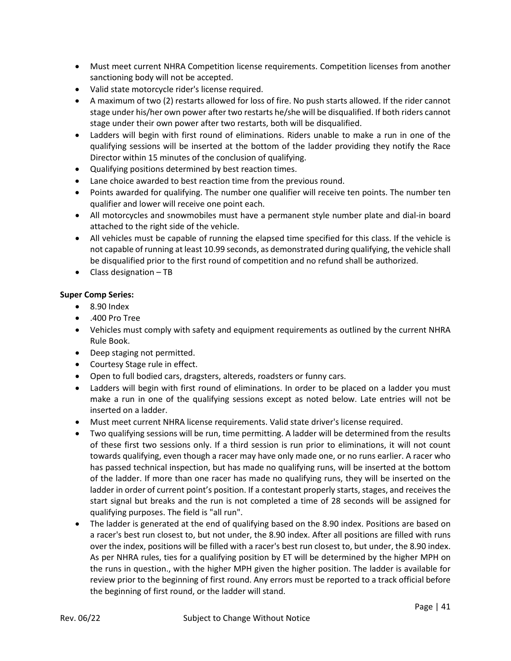- Must meet current NHRA Competition license requirements. Competition licenses from another sanctioning body will not be accepted.
- Valid state motorcycle rider's license required.
- A maximum of two (2) restarts allowed for loss of fire. No push starts allowed. If the rider cannot stage under his/her own power after two restarts he/she will be disqualified. If both riders cannot stage under their own power after two restarts, both will be disqualified.
- Ladders will begin with first round of eliminations. Riders unable to make a run in one of the qualifying sessions will be inserted at the bottom of the ladder providing they notify the Race Director within 15 minutes of the conclusion of qualifying.
- Qualifying positions determined by best reaction times.
- Lane choice awarded to best reaction time from the previous round.
- Points awarded for qualifying. The number one qualifier will receive ten points. The number ten qualifier and lower will receive one point each.
- All motorcycles and snowmobiles must have a permanent style number plate and dial-in board attached to the right side of the vehicle.
- All vehicles must be capable of running the elapsed time specified for this class. If the vehicle is not capable of running at least 10.99 seconds, as demonstrated during qualifying, the vehicle shall be disqualified prior to the first round of competition and no refund shall be authorized.
- Class designation TB

# **Super Comp Series:**

- 8.90 Index
- .400 Pro Tree
- Vehicles must comply with safety and equipment requirements as outlined by the current NHRA Rule Book.
- Deep staging not permitted.
- Courtesy Stage rule in effect.
- Open to full bodied cars, dragsters, altereds, roadsters or funny cars.
- Ladders will begin with first round of eliminations. In order to be placed on a ladder you must make a run in one of the qualifying sessions except as noted below. Late entries will not be inserted on a ladder.
- Must meet current NHRA license requirements. Valid state driver's license required.
- Two qualifying sessions will be run, time permitting. A ladder will be determined from the results of these first two sessions only. If a third session is run prior to eliminations, it will not count towards qualifying, even though a racer may have only made one, or no runs earlier. A racer who has passed technical inspection, but has made no qualifying runs, will be inserted at the bottom of the ladder. If more than one racer has made no qualifying runs, they will be inserted on the ladder in order of current point's position. If a contestant properly starts, stages, and receives the start signal but breaks and the run is not completed a time of 28 seconds will be assigned for qualifying purposes. The field is "all run".
- The ladder is generated at the end of qualifying based on the 8.90 index. Positions are based on a racer's best run closest to, but not under, the 8.90 index. After all positions are filled with runs over the index, positions will be filled with a racer's best run closest to, but under, the 8.90 index. As per NHRA rules, ties for a qualifying position by ET will be determined by the higher MPH on the runs in question., with the higher MPH given the higher position. The ladder is available for review prior to the beginning of first round. Any errors must be reported to a track official before the beginning of first round, or the ladder will stand.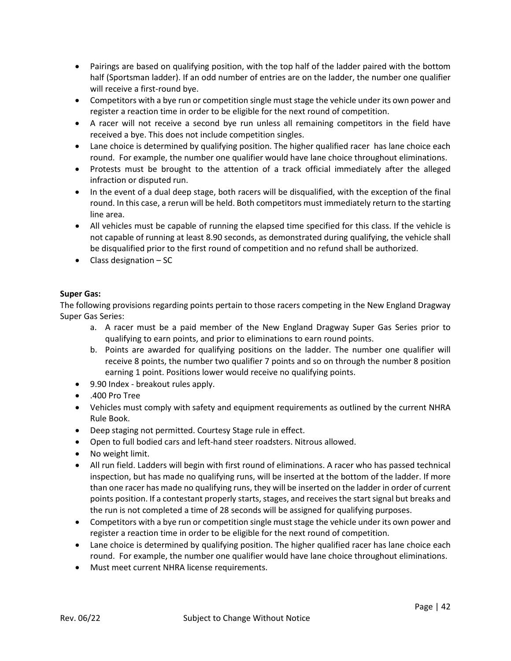- Pairings are based on qualifying position, with the top half of the ladder paired with the bottom half (Sportsman ladder). If an odd number of entries are on the ladder, the number one qualifier will receive a first-round bye.
- Competitors with a bye run or competition single must stage the vehicle under its own power and register a reaction time in order to be eligible for the next round of competition.
- A racer will not receive a second bye run unless all remaining competitors in the field have received a bye. This does not include competition singles.
- Lane choice is determined by qualifying position. The higher qualified racer has lane choice each round. For example, the number one qualifier would have lane choice throughout eliminations.
- Protests must be brought to the attention of a track official immediately after the alleged infraction or disputed run.
- In the event of a dual deep stage, both racers will be disqualified, with the exception of the final round. In this case, a rerun will be held. Both competitors must immediately return to the starting line area.
- All vehicles must be capable of running the elapsed time specified for this class. If the vehicle is not capable of running at least 8.90 seconds, as demonstrated during qualifying, the vehicle shall be disqualified prior to the first round of competition and no refund shall be authorized.
- Class designation SC

# **Super Gas:**

The following provisions regarding points pertain to those racers competing in the New England Dragway Super Gas Series:

- a. A racer must be a paid member of the New England Dragway Super Gas Series prior to qualifying to earn points, and prior to eliminations to earn round points.
- b. Points are awarded for qualifying positions on the ladder. The number one qualifier will receive 8 points, the number two qualifier 7 points and so on through the number 8 position earning 1 point. Positions lower would receive no qualifying points.
- 9.90 Index breakout rules apply.
- .400 Pro Tree
- Vehicles must comply with safety and equipment requirements as outlined by the current NHRA Rule Book.
- Deep staging not permitted. Courtesy Stage rule in effect.
- Open to full bodied cars and left-hand steer roadsters. Nitrous allowed.
- No weight limit.
- All run field. Ladders will begin with first round of eliminations. A racer who has passed technical inspection, but has made no qualifying runs, will be inserted at the bottom of the ladder. If more than one racer has made no qualifying runs, they will be inserted on the ladder in order of current points position. If a contestant properly starts, stages, and receives the start signal but breaks and the run is not completed a time of 28 seconds will be assigned for qualifying purposes.
- Competitors with a bye run or competition single must stage the vehicle under its own power and register a reaction time in order to be eligible for the next round of competition.
- Lane choice is determined by qualifying position. The higher qualified racer has lane choice each round. For example, the number one qualifier would have lane choice throughout eliminations.
- Must meet current NHRA license requirements.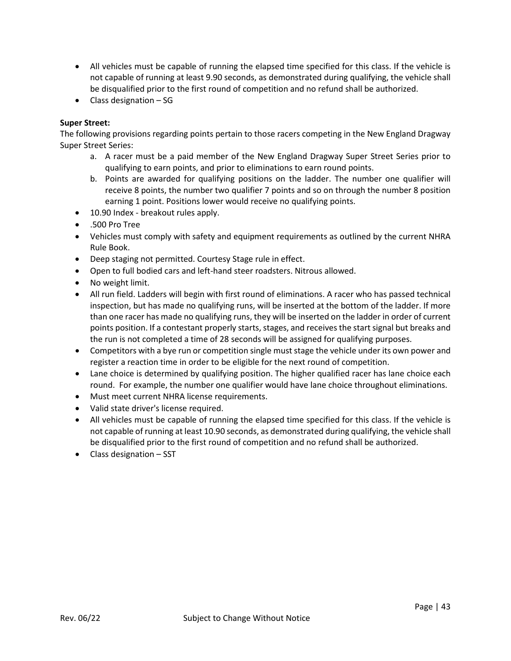- All vehicles must be capable of running the elapsed time specified for this class. If the vehicle is not capable of running at least 9.90 seconds, as demonstrated during qualifying, the vehicle shall be disqualified prior to the first round of competition and no refund shall be authorized.
- Class designation SG

# **Super Street:**

The following provisions regarding points pertain to those racers competing in the New England Dragway Super Street Series:

- a. A racer must be a paid member of the New England Dragway Super Street Series prior to qualifying to earn points, and prior to eliminations to earn round points.
- b. Points are awarded for qualifying positions on the ladder. The number one qualifier will receive 8 points, the number two qualifier 7 points and so on through the number 8 position earning 1 point. Positions lower would receive no qualifying points.
- 10.90 Index breakout rules apply.
- .500 Pro Tree
- Vehicles must comply with safety and equipment requirements as outlined by the current NHRA Rule Book.
- Deep staging not permitted. Courtesy Stage rule in effect.
- Open to full bodied cars and left-hand steer roadsters. Nitrous allowed.
- No weight limit.
- All run field. Ladders will begin with first round of eliminations. A racer who has passed technical inspection, but has made no qualifying runs, will be inserted at the bottom of the ladder. If more than one racer has made no qualifying runs, they will be inserted on the ladder in order of current points position. If a contestant properly starts, stages, and receives the start signal but breaks and the run is not completed a time of 28 seconds will be assigned for qualifying purposes.
- Competitors with a bye run or competition single must stage the vehicle under its own power and register a reaction time in order to be eligible for the next round of competition.
- Lane choice is determined by qualifying position. The higher qualified racer has lane choice each round. For example, the number one qualifier would have lane choice throughout eliminations.
- Must meet current NHRA license requirements.
- Valid state driver's license required.
- All vehicles must be capable of running the elapsed time specified for this class. If the vehicle is not capable of running at least 10.90 seconds, as demonstrated during qualifying, the vehicle shall be disqualified prior to the first round of competition and no refund shall be authorized.
- Class designation SST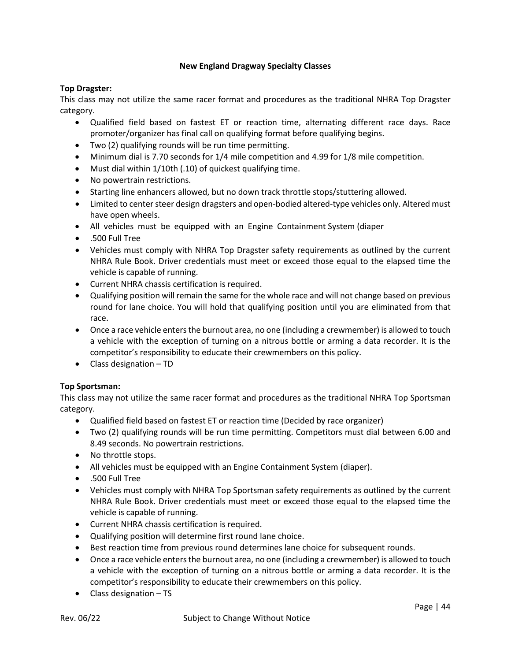# **New England Dragway Specialty Classes**

# **Top Dragster:**

This class may not utilize the same racer format and procedures as the traditional NHRA Top Dragster category.

- Qualified field based on fastest ET or reaction time, alternating different race days. Race promoter/organizer has final call on qualifying format before qualifying begins.
- Two (2) qualifying rounds will be run time permitting.
- Minimum dial is 7.70 seconds for 1/4 mile competition and 4.99 for 1/8 mile competition.
- Must dial within 1/10th (.10) of quickest qualifying time.
- No powertrain restrictions.
- Starting line enhancers allowed, but no down track throttle stops/stuttering allowed.
- Limited to center steer design dragsters and open-bodied altered-type vehicles only. Altered must have open wheels.
- All vehicles must be equipped with an Engine Containment System (diaper
- .500 Full Tree
- Vehicles must comply with NHRA Top Dragster safety requirements as outlined by the current NHRA Rule Book. Driver credentials must meet or exceed those equal to the elapsed time the vehicle is capable of running.
- Current NHRA chassis certification is required.
- Qualifying position will remain the same for the whole race and will not change based on previous round for lane choice. You will hold that qualifying position until you are eliminated from that race.
- Once a race vehicle enters the burnout area, no one (including a crewmember) is allowed to touch a vehicle with the exception of turning on a nitrous bottle or arming a data recorder. It is the competitor's responsibility to educate their crewmembers on this policy.
- Class designation TD

# **Top Sportsman:**

This class may not utilize the same racer format and procedures as the traditional NHRA Top Sportsman category.

- Qualified field based on fastest ET or reaction time (Decided by race organizer)
- Two (2) qualifying rounds will be run time permitting. Competitors must dial between 6.00 and 8.49 seconds. No powertrain restrictions.
- No throttle stops.
- All vehicles must be equipped with an Engine Containment System (diaper).
- .500 Full Tree
- Vehicles must comply with NHRA Top Sportsman safety requirements as outlined by the current NHRA Rule Book. Driver credentials must meet or exceed those equal to the elapsed time the vehicle is capable of running.
- Current NHRA chassis certification is required.
- Qualifying position will determine first round lane choice.
- Best reaction time from previous round determines lane choice for subsequent rounds.
- Once a race vehicle enters the burnout area, no one (including a crewmember) is allowed to touch a vehicle with the exception of turning on a nitrous bottle or arming a data recorder. It is the competitor's responsibility to educate their crewmembers on this policy.
- Class designation TS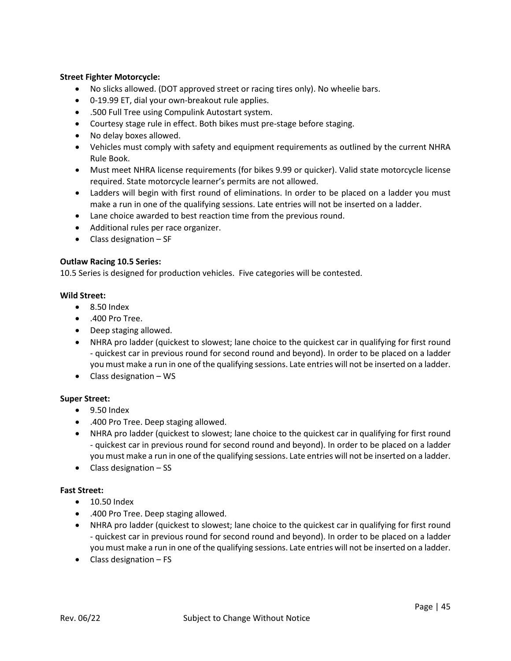# **Street Fighter Motorcycle:**

- No slicks allowed. (DOT approved street or racing tires only). No wheelie bars.
- 0-19.99 ET, dial your own-breakout rule applies.
- .500 Full Tree using Compulink Autostart system.
- Courtesy stage rule in effect. Both bikes must pre-stage before staging.
- No delay boxes allowed.
- Vehicles must comply with safety and equipment requirements as outlined by the current NHRA Rule Book.
- Must meet NHRA license requirements (for bikes 9.99 or quicker). Valid state motorcycle license required. State motorcycle learner's permits are not allowed.
- Ladders will begin with first round of eliminations. In order to be placed on a ladder you must make a run in one of the qualifying sessions. Late entries will not be inserted on a ladder.
- Lane choice awarded to best reaction time from the previous round.
- Additional rules per race organizer.
- $\bullet$  Class designation SF

# **Outlaw Racing 10.5 Series:**

10.5 Series is designed for production vehicles. Five categories will be contested.

# **Wild Street:**

- 8.50 Index
- .400 Pro Tree.
- Deep staging allowed.
- NHRA pro ladder (quickest to slowest; lane choice to the quickest car in qualifying for first round - quickest car in previous round for second round and beyond). In order to be placed on a ladder you must make a run in one of the qualifying sessions. Late entries will not be inserted on a ladder.
- Class designation WS

# **Super Street:**

- 9.50 Index
- .400 Pro Tree. Deep staging allowed.
- NHRA pro ladder (quickest to slowest; lane choice to the quickest car in qualifying for first round - quickest car in previous round for second round and beyond). In order to be placed on a ladder you must make a run in one of the qualifying sessions. Late entries will not be inserted on a ladder.
- Class designation SS

# **Fast Street:**

- 10.50 Index
- .400 Pro Tree. Deep staging allowed.
- NHRA pro ladder (quickest to slowest; lane choice to the quickest car in qualifying for first round - quickest car in previous round for second round and beyond). In order to be placed on a ladder you must make a run in one of the qualifying sessions. Late entries will not be inserted on a ladder.
- Class designation FS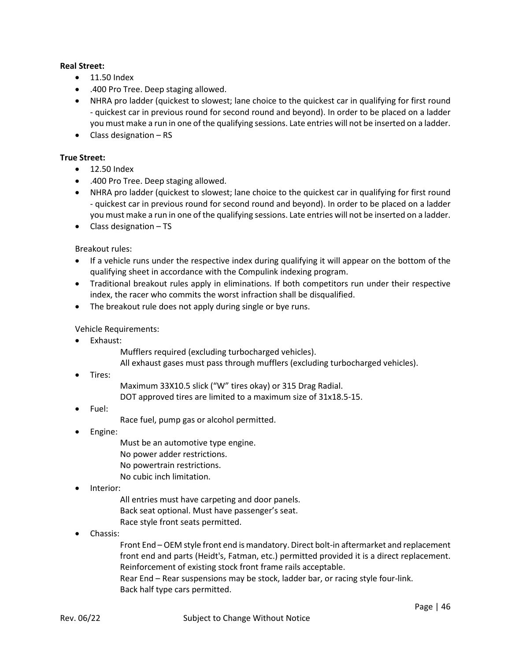# **Real Street:**

- 11.50 Index
- .400 Pro Tree. Deep staging allowed.
- NHRA pro ladder (quickest to slowest; lane choice to the quickest car in qualifying for first round - quickest car in previous round for second round and beyond). In order to be placed on a ladder you must make a run in one of the qualifying sessions. Late entries will not be inserted on a ladder.
- Class designation RS

# **True Street:**

- 12.50 Index
- .400 Pro Tree. Deep staging allowed.
- NHRA pro ladder (quickest to slowest; lane choice to the quickest car in qualifying for first round - quickest car in previous round for second round and beyond). In order to be placed on a ladder you must make a run in one of the qualifying sessions. Late entries will not be inserted on a ladder.
- Class designation TS

# Breakout rules:

- If a vehicle runs under the respective index during qualifying it will appear on the bottom of the qualifying sheet in accordance with the Compulink indexing program.
- Traditional breakout rules apply in eliminations. If both competitors run under their respective index, the racer who commits the worst infraction shall be disqualified.
- The breakout rule does not apply during single or bye runs.

# Vehicle Requirements:

- Exhaust:
	- Mufflers required (excluding turbocharged vehicles).
	- All exhaust gases must pass through mufflers (excluding turbocharged vehicles).
- Tires:
- Maximum 33X10.5 slick ("W" tires okay) or 315 Drag Radial.
- DOT approved tires are limited to a maximum size of 31x18.5-15.
- Fuel:
- Race fuel, pump gas or alcohol permitted.
- Engine:
	- Must be an automotive type engine. No power adder restrictions. No powertrain restrictions. No cubic inch limitation.
- Interior:
	- All entries must have carpeting and door panels. Back seat optional. Must have passenger's seat. Race style front seats permitted.
- Chassis:

Front End – OEM style front end is mandatory. Direct bolt-in aftermarket and replacement front end and parts (Heidt's, Fatman, etc.) permitted provided it is a direct replacement. Reinforcement of existing stock front frame rails acceptable.

Rear End – Rear suspensions may be stock, ladder bar, or racing style four-link. Back half type cars permitted.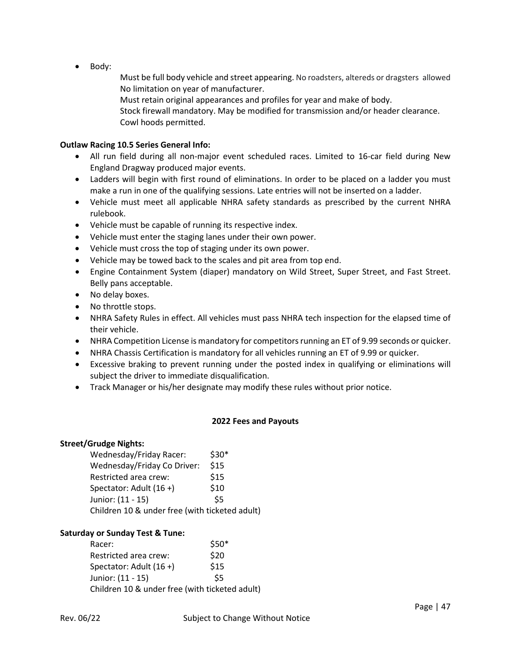• Body:

Must be full body vehicle and street appearing. No roadsters, altereds or dragsters allowed No limitation on year of manufacturer.

Must retain original appearances and profiles for year and make of body.

Stock firewall mandatory. May be modified for transmission and/or header clearance. Cowl hoods permitted.

# **Outlaw Racing 10.5 Series General Info:**

- All run field during all non-major event scheduled races. Limited to 16-car field during New England Dragway produced major events.
- Ladders will begin with first round of eliminations. In order to be placed on a ladder you must make a run in one of the qualifying sessions. Late entries will not be inserted on a ladder.
- Vehicle must meet all applicable NHRA safety standards as prescribed by the current NHRA rulebook.
- Vehicle must be capable of running its respective index.
- Vehicle must enter the staging lanes under their own power.
- Vehicle must cross the top of staging under its own power.
- Vehicle may be towed back to the scales and pit area from top end.
- Engine Containment System (diaper) mandatory on Wild Street, Super Street, and Fast Street. Belly pans acceptable.
- No delay boxes.
- No throttle stops.
- NHRA Safety Rules in effect. All vehicles must pass NHRA tech inspection for the elapsed time of their vehicle.
- NHRA Competition License is mandatory for competitors running an ET of 9.99 seconds or quicker.
- NHRA Chassis Certification is mandatory for all vehicles running an ET of 9.99 or quicker.
- Excessive braking to prevent running under the posted index in qualifying or eliminations will subject the driver to immediate disqualification.
- Track Manager or his/her designate may modify these rules without prior notice.

# **2022 Fees and Payouts**

# **Street/Grudge Nights:**

| Wednesday/Friday Racer:                        | $$30*$ |
|------------------------------------------------|--------|
| Wednesday/Friday Co Driver:                    | \$15   |
| Restricted area crew:                          | \$15   |
| Spectator: Adult (16+)                         | \$10   |
| Junior: (11 - 15)                              | \$5    |
| Children 10 & under free (with ticketed adult) |        |

# **Saturday or Sunday Test & Tune:**

| Racer:                                         | $$50*$ |
|------------------------------------------------|--------|
| Restricted area crew:                          | \$20   |
| Spectator: Adult $(16 +)$                      | \$15   |
| Junior: (11 - 15)                              | \$5    |
| Children 10 & under free (with ticketed adult) |        |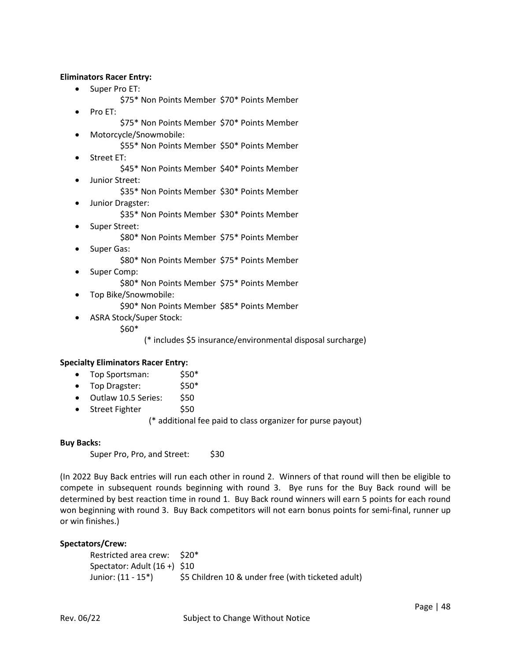# **Eliminators Racer Entry:**

- Super Pro ET:
	- \$75\* Non Points Member \$70\* Points Member
- Pro ET:
	- \$75\* Non Points Member \$70\* Points Member
	- Motorcycle/Snowmobile:
		- \$55\* Non Points Member \$50\* Points Member
- Street ET:
	- \$45\* Non Points Member \$40\* Points Member
- Junior Street:
	- \$35\* Non Points Member \$30\* Points Member
- Junior Dragster:
	- \$35\* Non Points Member \$30\* Points Member
- Super Street: \$80\* Non Points Member \$75\* Points Member
- Super Gas: \$80\* Non Points Member \$75\* Points Member
- Super Comp:
	- \$80\* Non Points Member \$75\* Points Member
- Top Bike/Snowmobile:
	- \$90\* Non Points Member \$85\* Points Member
- ASRA Stock/Super Stock:
	- \$60\*

(\* includes \$5 insurance/environmental disposal surcharge)

#### **Specialty Eliminators Racer Entry:**

- Top Sportsman: \$50\*
- Top Dragster: \$50\*
- Outlaw 10.5 Series: \$50
- Street Fighter \$50

(\* additional fee paid to class organizer for purse payout)

#### **Buy Backs:**

Super Pro, Pro, and Street: \$30

(In 2022 Buy Back entries will run each other in round 2. Winners of that round will then be eligible to compete in subsequent rounds beginning with round 3. Bye runs for the Buy Back round will be determined by best reaction time in round 1. Buy Back round winners will earn 5 points for each round won beginning with round 3. Buy Back competitors will not earn bonus points for semi-final, runner up or win finishes.)

#### **Spectators/Crew:**

Restricted area crew: \$20\* Spectator: Adult (16 +) \$10 Junior: (11 - 15\*) \$5 Children 10 & under free (with ticketed adult)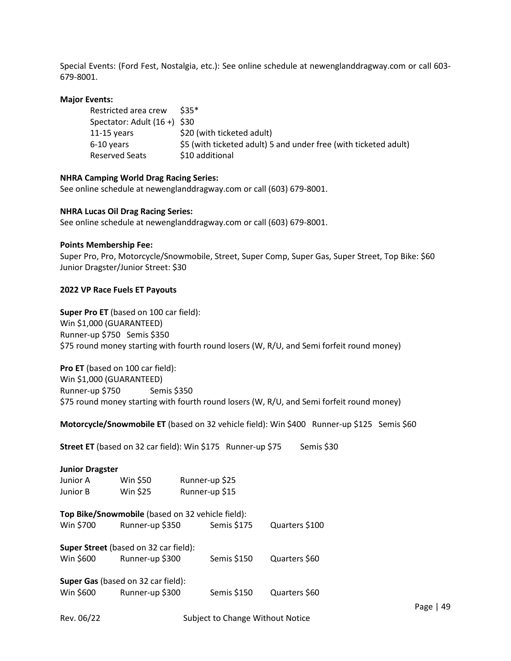Special Events: (Ford Fest, Nostalgia, etc.): See online schedule at newenglanddragway.com or call 603- 679-8001.

#### **Major Events:**

| Restricted area crew         | $$35*$                                                           |
|------------------------------|------------------------------------------------------------------|
| Spectator: Adult (16 +) \$30 |                                                                  |
| 11-15 vears                  | \$20 (with ticketed adult)                                       |
| 6-10 years                   | \$5 (with ticketed adult) 5 and under free (with ticketed adult) |
| Reserved Seats               | \$10 additional                                                  |

# **NHRA Camping World Drag Racing Series:**

See online schedule at newenglanddragway.com or call (603) 679-8001.

# **NHRA Lucas Oil Drag Racing Series:**

See online schedule at newenglanddragway.com or call (603) 679-8001.

# **Points Membership Fee:**

Super Pro, Pro, Motorcycle/Snowmobile, Street, Super Comp, Super Gas, Super Street, Top Bike: \$60 Junior Dragster/Junior Street: \$30

# **2022 VP Race Fuels ET Payouts**

**Super Pro ET** (based on 100 car field): Win \$1,000 (GUARANTEED) Runner-up \$750 Semis \$350 \$75 round money starting with fourth round losers (W, R/U, and Semi forfeit round money)

**Pro ET** (based on 100 car field): Win \$1,000 (GUARANTEED) Runner-up \$750 Semis \$350 \$75 round money starting with fourth round losers (W, R/U, and Semi forfeit round money)

**Motorcycle/Snowmobile ET** (based on 32 vehicle field): Win \$400 Runner-up \$125 Semis \$60

**Street ET** (based on 32 car field): Win \$175 Runner-up \$75 Semis \$30

| <b>Junior Dragster</b>                           |                 |  |                |                |  |
|--------------------------------------------------|-----------------|--|----------------|----------------|--|
| Junior A                                         | Win \$50        |  | Runner-up \$25 |                |  |
| Junior B                                         | Win \$25        |  | Runner-up \$15 |                |  |
| Top Bike/Snowmobile (based on 32 vehicle field): |                 |  |                |                |  |
| Win \$700                                        | Runner-up \$350 |  | Semis \$175    | Quarters \$100 |  |
| <b>Super Street</b> (based on 32 car field):     |                 |  |                |                |  |
| Win \$600                                        | Runner-up \$300 |  | Semis \$150    | Quarters \$60  |  |
| <b>Super Gas</b> (based on 32 car field):        |                 |  |                |                |  |
| Win \$600                                        | Runner-up \$300 |  | Semis \$150    | Quarters \$60  |  |
|                                                  |                 |  |                |                |  |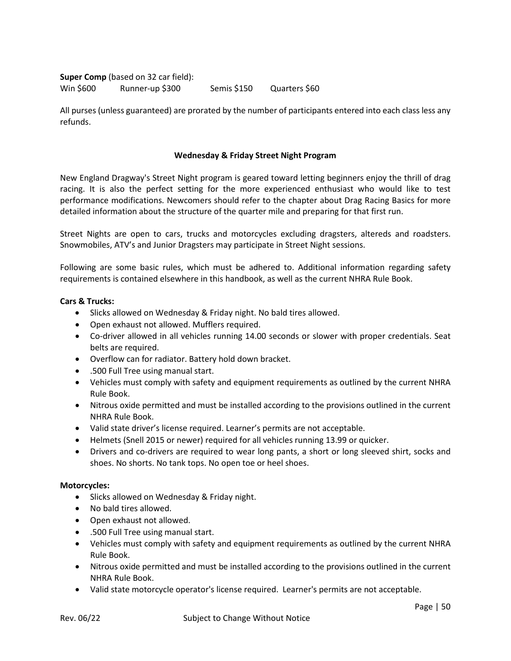**Super Comp** (based on 32 car field): Win \$600 Runner-up \$300 Semis \$150 Quarters \$60

All purses (unless guaranteed) are prorated by the number of participants entered into each class less any refunds.

# **Wednesday & Friday Street Night Program**

New England Dragway's Street Night program is geared toward letting beginners enjoy the thrill of drag racing. It is also the perfect setting for the more experienced enthusiast who would like to test performance modifications. Newcomers should refer to the chapter about Drag Racing Basics for more detailed information about the structure of the quarter mile and preparing for that first run.

Street Nights are open to cars, trucks and motorcycles excluding dragsters, altereds and roadsters. Snowmobiles, ATV's and Junior Dragsters may participate in Street Night sessions.

Following are some basic rules, which must be adhered to. Additional information regarding safety requirements is contained elsewhere in this handbook, as well as the current NHRA Rule Book.

# **Cars & Trucks:**

- Slicks allowed on Wednesday & Friday night. No bald tires allowed.
- Open exhaust not allowed. Mufflers required.
- Co-driver allowed in all vehicles running 14.00 seconds or slower with proper credentials. Seat belts are required.
- Overflow can for radiator. Battery hold down bracket.
- .500 Full Tree using manual start.
- Vehicles must comply with safety and equipment requirements as outlined by the current NHRA Rule Book.
- Nitrous oxide permitted and must be installed according to the provisions outlined in the current NHRA Rule Book.
- Valid state driver's license required. Learner's permits are not acceptable.
- Helmets (Snell 2015 or newer) required for all vehicles running 13.99 or quicker.
- Drivers and co-drivers are required to wear long pants, a short or long sleeved shirt, socks and shoes. No shorts. No tank tops. No open toe or heel shoes.

#### **Motorcycles:**

- Slicks allowed on Wednesday & Friday night.
- No bald tires allowed.
- Open exhaust not allowed.
- .500 Full Tree using manual start.
- Vehicles must comply with safety and equipment requirements as outlined by the current NHRA Rule Book.
- Nitrous oxide permitted and must be installed according to the provisions outlined in the current NHRA Rule Book.
- Valid state motorcycle operator's license required. Learner's permits are not acceptable.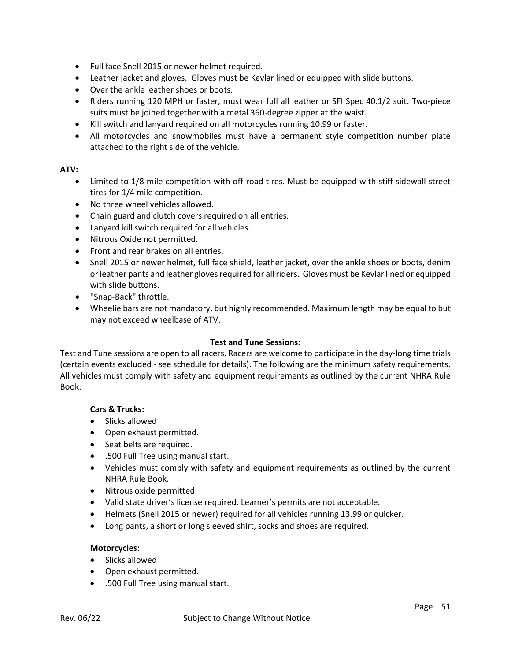- Full face Snell 2015 or newer helmet required.
- Leather jacket and gloves. Gloves must be Kevlar lined or equipped with slide buttons.
- Over the ankle leather shoes or boots.
- Riders running 120 MPH or faster, must wear full all leather or SFI Spec 40.1/2 suit. Two-piece suits must be joined together with a metal 360-degree zipper at the waist.
- Kill switch and lanyard required on all motorcycles running 10.99 or faster.
- All motorcycles and snowmobiles must have a permanent style competition number plate attached to the right side of the vehicle.

# **ATV:**

- Limited to 1/8 mile competition with off-road tires. Must be equipped with stiff sidewall street tires for 1/4 mile competition.
- No three wheel vehicles allowed.
- Chain guard and clutch covers required on all entries.
- Lanyard kill switch required for all vehicles.
- Nitrous Oxide not permitted.
- Front and rear brakes on all entries.
- Snell 2015 or newer helmet, full face shield, leather jacket, over the ankle shoes or boots, denim or leather pants and leather gloves required for all riders. Gloves must be Kevlar lined or equipped with slide buttons.
- "Snap-Back" throttle.
- Wheelie bars are not mandatory, but highly recommended. Maximum length may be equal to but may not exceed wheelbase of ATV.

#### **Test and Tune Sessions:**

Test and Tune sessions are open to all racers. Racers are welcome to participate in the day-long time trials (certain events excluded - see schedule for details). The following are the minimum safety requirements. All vehicles must comply with safety and equipment requirements as outlined by the current NHRA Rule Book.

#### **Cars & Trucks:**

- Slicks allowed
- Open exhaust permitted.
- Seat belts are required.
- .500 Full Tree using manual start.
- Vehicles must comply with safety and equipment requirements as outlined by the current NHRA Rule Book.
- Nitrous oxide permitted.
- Valid state driver's license required. Learner's permits are not acceptable.
- Helmets (Snell 2015 or newer) required for all vehicles running 13.99 or quicker.
- Long pants, a short or long sleeved shirt, socks and shoes are required.

#### **Motorcycles:**

- Slicks allowed
- Open exhaust permitted.
- .500 Full Tree using manual start.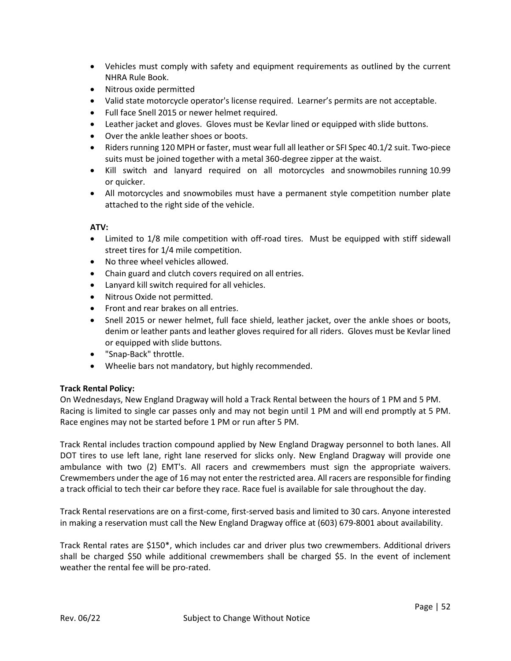- Vehicles must comply with safety and equipment requirements as outlined by the current NHRA Rule Book.
- Nitrous oxide permitted
- Valid state motorcycle operator's license required. Learner's permits are not acceptable.
- Full face Snell 2015 or newer helmet required.
- Leather jacket and gloves. Gloves must be Kevlar lined or equipped with slide buttons.
- Over the ankle leather shoes or boots.
- Riders running 120 MPH or faster, must wear full all leather or SFI Spec 40.1/2 suit. Two-piece suits must be joined together with a metal 360-degree zipper at the waist.
- Kill switch and lanyard required on all motorcycles and snowmobiles running 10.99 or quicker.
- All motorcycles and snowmobiles must have a permanent style competition number plate attached to the right side of the vehicle.

# **ATV:**

- Limited to 1/8 mile competition with off-road tires. Must be equipped with stiff sidewall street tires for 1/4 mile competition.
- No three wheel vehicles allowed.
- Chain guard and clutch covers required on all entries.
- Lanyard kill switch required for all vehicles.
- Nitrous Oxide not permitted.
- Front and rear brakes on all entries.
- Snell 2015 or newer helmet, full face shield, leather jacket, over the ankle shoes or boots, denim or leather pants and leather gloves required for all riders. Gloves must be Kevlar lined or equipped with slide buttons.
- "Snap-Back" throttle.
- Wheelie bars not mandatory, but highly recommended.

# **Track Rental Policy:**

On Wednesdays, New England Dragway will hold a Track Rental between the hours of 1 PM and 5 PM. Racing is limited to single car passes only and may not begin until 1 PM and will end promptly at 5 PM. Race engines may not be started before 1 PM or run after 5 PM.

Track Rental includes traction compound applied by New England Dragway personnel to both lanes. All DOT tires to use left lane, right lane reserved for slicks only. New England Dragway will provide one ambulance with two (2) EMT's. All racers and crewmembers must sign the appropriate waivers. Crewmembers under the age of 16 may not enter the restricted area. All racers are responsible for finding a track official to tech their car before they race. Race fuel is available for sale throughout the day.

Track Rental reservations are on a first-come, first-served basis and limited to 30 cars. Anyone interested in making a reservation must call the New England Dragway office at (603) 679-8001 about availability.

Track Rental rates are \$150\*, which includes car and driver plus two crewmembers. Additional drivers shall be charged \$50 while additional crewmembers shall be charged \$5. In the event of inclement weather the rental fee will be pro-rated.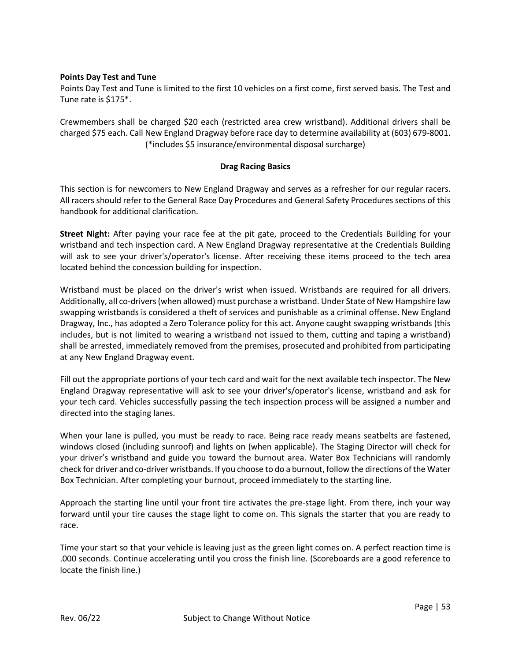# **Points Day Test and Tune**

Points Day Test and Tune is limited to the first 10 vehicles on a first come, first served basis. The Test and Tune rate is \$175\*.

Crewmembers shall be charged \$20 each (restricted area crew wristband). Additional drivers shall be charged \$75 each. Call New England Dragway before race day to determine availability at (603) 679-8001. (\*includes \$5 insurance/environmental disposal surcharge)

# **Drag Racing Basics**

This section is for newcomers to New England Dragway and serves as a refresher for our regular racers. All racers should refer to the General Race Day Procedures and General Safety Procedures sections of this handbook for additional clarification.

**Street Night:** After paying your race fee at the pit gate, proceed to the Credentials Building for your wristband and tech inspection card. A New England Dragway representative at the Credentials Building will ask to see your driver's/operator's license. After receiving these items proceed to the tech area located behind the concession building for inspection.

Wristband must be placed on the driver's wrist when issued. Wristbands are required for all drivers. Additionally, all co-drivers (when allowed) must purchase a wristband. Under State of New Hampshire law swapping wristbands is considered a theft of services and punishable as a criminal offense. New England Dragway, Inc., has adopted a Zero Tolerance policy for this act. Anyone caught swapping wristbands (this includes, but is not limited to wearing a wristband not issued to them, cutting and taping a wristband) shall be arrested, immediately removed from the premises, prosecuted and prohibited from participating at any New England Dragway event.

Fill out the appropriate portions of your tech card and wait for the next available tech inspector. The New England Dragway representative will ask to see your driver's/operator's license, wristband and ask for your tech card. Vehicles successfully passing the tech inspection process will be assigned a number and directed into the staging lanes.

When your lane is pulled, you must be ready to race. Being race ready means seatbelts are fastened, windows closed (including sunroof) and lights on (when applicable). The Staging Director will check for your driver's wristband and guide you toward the burnout area. Water Box Technicians will randomly check for driver and co-driver wristbands. If you choose to do a burnout, follow the directions of the Water Box Technician. After completing your burnout, proceed immediately to the starting line.

Approach the starting line until your front tire activates the pre-stage light. From there, inch your way forward until your tire causes the stage light to come on. This signals the starter that you are ready to race.

Time your start so that your vehicle is leaving just as the green light comes on. A perfect reaction time is .000 seconds. Continue accelerating until you cross the finish line. (Scoreboards are a good reference to locate the finish line.)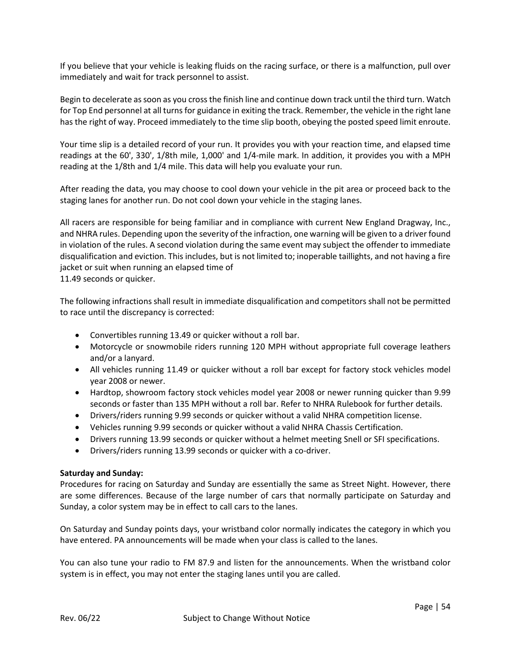If you believe that your vehicle is leaking fluids on the racing surface, or there is a malfunction, pull over immediately and wait for track personnel to assist.

Begin to decelerate as soon as you cross the finish line and continue down track until the third turn. Watch for Top End personnel at all turns for guidance in exiting the track. Remember, the vehicle in the right lane has the right of way. Proceed immediately to the time slip booth, obeying the posted speed limit enroute.

Your time slip is a detailed record of your run. It provides you with your reaction time, and elapsed time readings at the 60', 330', 1/8th mile, 1,000' and 1/4-mile mark. In addition, it provides you with a MPH reading at the 1/8th and 1/4 mile. This data will help you evaluate your run.

After reading the data, you may choose to cool down your vehicle in the pit area or proceed back to the staging lanes for another run. Do not cool down your vehicle in the staging lanes.

All racers are responsible for being familiar and in compliance with current New England Dragway, Inc., and NHRA rules. Depending upon the severity of the infraction, one warning will be given to a driver found in violation of the rules. A second violation during the same event may subject the offender to immediate disqualification and eviction. This includes, but is not limited to; inoperable taillights, and not having a fire jacket or suit when running an elapsed time of 11.49 seconds or quicker.

The following infractions shall result in immediate disqualification and competitors shall not be permitted to race until the discrepancy is corrected:

- Convertibles running 13.49 or quicker without a roll bar.
- Motorcycle or snowmobile riders running 120 MPH without appropriate full coverage leathers and/or a lanyard.
- All vehicles running 11.49 or quicker without a roll bar except for factory stock vehicles model year 2008 or newer.
- Hardtop, showroom factory stock vehicles model year 2008 or newer running quicker than 9.99 seconds or faster than 135 MPH without a roll bar. Refer to NHRA Rulebook for further details.
- Drivers/riders running 9.99 seconds or quicker without a valid NHRA competition license.
- Vehicles running 9.99 seconds or quicker without a valid NHRA Chassis Certification.
- Drivers running 13.99 seconds or quicker without a helmet meeting Snell or SFI specifications.
- Drivers/riders running 13.99 seconds or quicker with a co-driver.

# **Saturday and Sunday:**

Procedures for racing on Saturday and Sunday are essentially the same as Street Night. However, there are some differences. Because of the large number of cars that normally participate on Saturday and Sunday, a color system may be in effect to call cars to the lanes.

On Saturday and Sunday points days, your wristband color normally indicates the category in which you have entered. PA announcements will be made when your class is called to the lanes.

You can also tune your radio to FM 87.9 and listen for the announcements. When the wristband color system is in effect, you may not enter the staging lanes until you are called.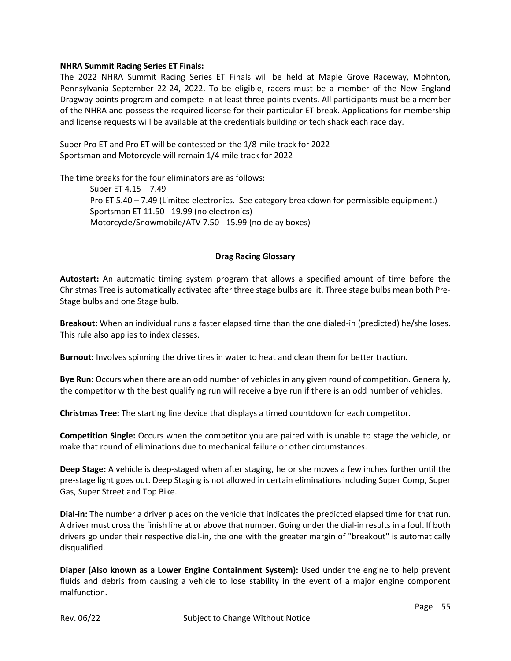# **NHRA Summit Racing Series ET Finals:**

The 2022 NHRA Summit Racing Series ET Finals will be held at Maple Grove Raceway, Mohnton, Pennsylvania September 22-24, 2022. To be eligible, racers must be a member of the New England Dragway points program and compete in at least three points events. All participants must be a member of the NHRA and possess the required license for their particular ET break. Applications for membership and license requests will be available at the credentials building or tech shack each race day.

Super Pro ET and Pro ET will be contested on the 1/8-mile track for 2022 Sportsman and Motorcycle will remain 1/4-mile track for 2022

The time breaks for the four eliminators are as follows: Super ET 4.15 – 7.49 Pro ET 5.40 – 7.49 (Limited electronics. See category breakdown for permissible equipment.) Sportsman ET 11.50 - 19.99 (no electronics) Motorcycle/Snowmobile/ATV 7.50 - 15.99 (no delay boxes)

# **Drag Racing Glossary**

**Autostart:** An automatic timing system program that allows a specified amount of time before the Christmas Tree is automatically activated after three stage bulbs are lit. Three stage bulbs mean both Pre-Stage bulbs and one Stage bulb.

**Breakout:** When an individual runs a faster elapsed time than the one dialed-in (predicted) he/she loses. This rule also applies to index classes.

**Burnout:** Involves spinning the drive tires in water to heat and clean them for better traction.

**Bye Run:** Occurs when there are an odd number of vehicles in any given round of competition. Generally, the competitor with the best qualifying run will receive a bye run if there is an odd number of vehicles.

**Christmas Tree:** The starting line device that displays a timed countdown for each competitor.

**Competition Single:** Occurs when the competitor you are paired with is unable to stage the vehicle, or make that round of eliminations due to mechanical failure or other circumstances.

**Deep Stage:** A vehicle is deep-staged when after staging, he or she moves a few inches further until the pre-stage light goes out. Deep Staging is not allowed in certain eliminations including Super Comp, Super Gas, Super Street and Top Bike.

**Dial-in:** The number a driver places on the vehicle that indicates the predicted elapsed time for that run. A driver must cross the finish line at or above that number. Going under the dial-in results in a foul. If both drivers go under their respective dial-in, the one with the greater margin of "breakout" is automatically disqualified.

**Diaper (Also known as a Lower Engine Containment System):** Used under the engine to help prevent fluids and debris from causing a vehicle to lose stability in the event of a major engine component malfunction.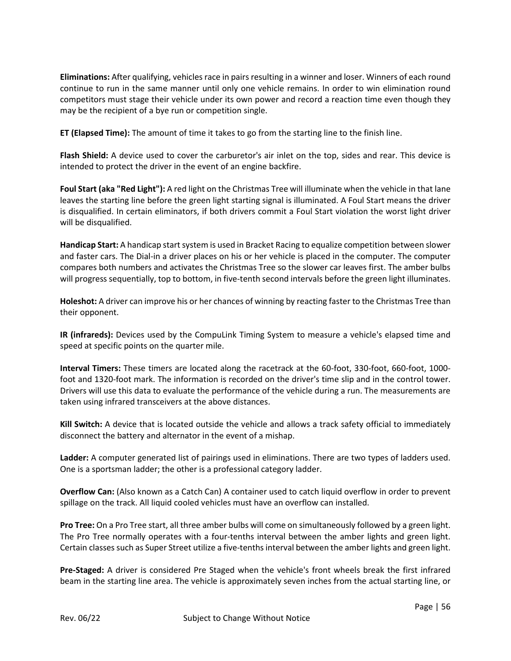**Eliminations:** After qualifying, vehicles race in pairs resulting in a winner and loser. Winners of each round continue to run in the same manner until only one vehicle remains. In order to win elimination round competitors must stage their vehicle under its own power and record a reaction time even though they may be the recipient of a bye run or competition single.

**ET (Elapsed Time):** The amount of time it takes to go from the starting line to the finish line.

**Flash Shield:** A device used to cover the carburetor's air inlet on the top, sides and rear. This device is intended to protect the driver in the event of an engine backfire.

**Foul Start (aka "Red Light"):** A red light on the Christmas Tree will illuminate when the vehicle in that lane leaves the starting line before the green light starting signal is illuminated. A Foul Start means the driver is disqualified. In certain eliminators, if both drivers commit a Foul Start violation the worst light driver will be disqualified.

**Handicap Start:** A handicap start system is used in Bracket Racing to equalize competition between slower and faster cars. The Dial-in a driver places on his or her vehicle is placed in the computer. The computer compares both numbers and activates the Christmas Tree so the slower car leaves first. The amber bulbs will progress sequentially, top to bottom, in five-tenth second intervals before the green light illuminates.

**Holeshot:** A driver can improve his or her chances of winning by reacting faster to the Christmas Tree than their opponent.

**IR (infrareds):** Devices used by the CompuLink Timing System to measure a vehicle's elapsed time and speed at specific points on the quarter mile.

**Interval Timers:** These timers are located along the racetrack at the 60-foot, 330-foot, 660-foot, 1000 foot and 1320-foot mark. The information is recorded on the driver's time slip and in the control tower. Drivers will use this data to evaluate the performance of the vehicle during a run. The measurements are taken using infrared transceivers at the above distances.

**Kill Switch:** A device that is located outside the vehicle and allows a track safety official to immediately disconnect the battery and alternator in the event of a mishap.

**Ladder:** A computer generated list of pairings used in eliminations. There are two types of ladders used. One is a sportsman ladder; the other is a professional category ladder.

**Overflow Can:** (Also known as a Catch Can) A container used to catch liquid overflow in order to prevent spillage on the track. All liquid cooled vehicles must have an overflow can installed.

**Pro Tree:** On a Pro Tree start, all three amber bulbs will come on simultaneously followed by a green light. The Pro Tree normally operates with a four-tenths interval between the amber lights and green light. Certain classes such as Super Street utilize a five-tenths interval between the amber lights and green light.

**Pre-Staged:** A driver is considered Pre Staged when the vehicle's front wheels break the first infrared beam in the starting line area. The vehicle is approximately seven inches from the actual starting line, or